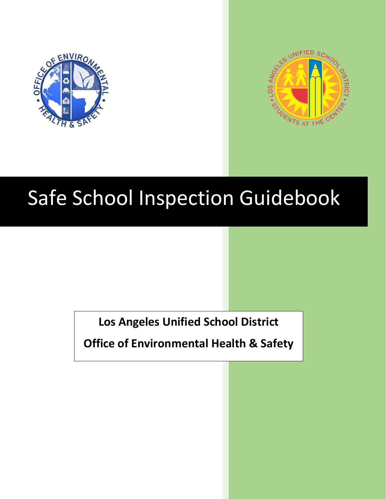



# Safe School Inspection Guidebook

**Los Angeles Unified School District**

**Office of Environmental Health & Safety**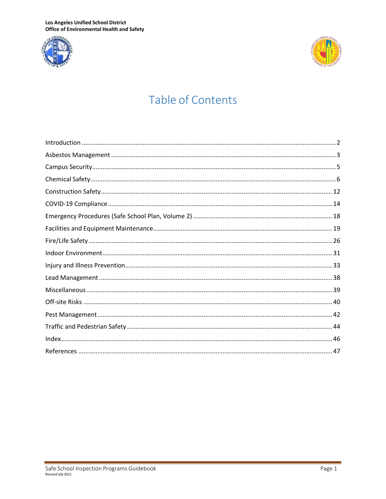Los Angeles Unified School District Office of Environmental Health and Safety





# **Table of Contents**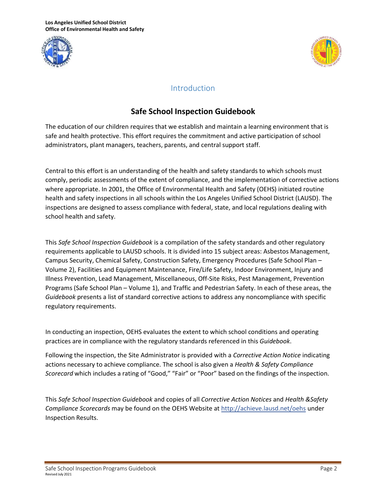**Los Angeles Unified School District Office of Environmental Health and Safety**





#### Introduction

#### **Safe School Inspection Guidebook**

<span id="page-2-0"></span>The education of our children requires that we establish and maintain a learning environment that is safe and health protective. This effort requires the commitment and active participation of school administrators, plant managers, teachers, parents, and central support staff.

Central to this effort is an understanding of the health and safety standards to which schools must comply, periodic assessments of the extent of compliance, and the implementation of corrective actions where appropriate. In 2001, the Office of Environmental Health and Safety (OEHS) initiated routine health and safety inspections in all schools within the Los Angeles Unified School District (LAUSD). The inspections are designed to assess compliance with federal, state, and local regulations dealing with school health and safety.

This *Safe School Inspection Guidebook* is a compilation of the safety standards and other regulatory requirements applicable to LAUSD schools. It is divided into 15 subject areas: Asbestos Management, Campus Security, Chemical Safety, Construction Safety, Emergency Procedures (Safe School Plan – Volume 2), Facilities and Equipment Maintenance, Fire/Life Safety, Indoor Environment, Injury and Illness Prevention, Lead Management, Miscellaneous, Off-Site Risks, Pest Management, Prevention Programs (Safe School Plan – Volume 1), and Traffic and Pedestrian Safety. In each of these areas, the *Guidebook* presents a list of standard corrective actions to address any noncompliance with specific regulatory requirements.

In conducting an inspection, OEHS evaluates the extent to which school conditions and operating practices are in compliance with the regulatory standards referenced in this *Guidebook*.

Following the inspection, the Site Administrator is provided with a *Corrective Action Notice* indicating actions necessary to achieve compliance. The school is also given a *Health & Safety Compliance Scorecard* which includes a rating of "Good," "Fair" or "Poor" based on the findings of the inspection.

This *Safe School Inspection Guidebook* and copies of all *Corrective Action Notices* and *Health &Safety Compliance Scorecards* may be found on the OEHS Website at<http://achieve.lausd.net/oehs> under Inspection Results.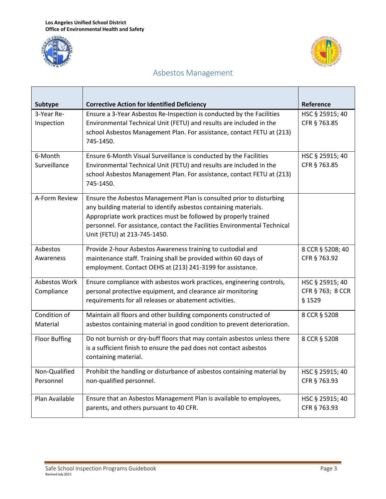



## Asbestos Management

<span id="page-3-0"></span>

| Subtype              | <b>Corrective Action for Identified Deficiency</b>                        | Reference        |
|----------------------|---------------------------------------------------------------------------|------------------|
| 3-Year Re-           | Ensure a 3-Year Asbestos Re-Inspection is conducted by the Facilities     | HSC § 25915; 40  |
| Inspection           | Environmental Technical Unit (FETU) and results are included in the       | CFR § 763.85     |
|                      | school Asbestos Management Plan. For assistance, contact FETU at (213)    |                  |
|                      | 745-1450.                                                                 |                  |
| 6-Month              | Ensure 6-Month Visual Surveillance is conducted by the Facilities         | HSC § 25915; 40  |
| Surveillance         | Environmental Technical Unit (FETU) and results are included in the       | CFR § 763.85     |
|                      | school Asbestos Management Plan. For assistance, contact FETU at (213)    |                  |
|                      | 745-1450.                                                                 |                  |
| A-Form Review        | Ensure the Asbestos Management Plan is consulted prior to disturbing      |                  |
|                      | any building material to identify asbestos containing materials.          |                  |
|                      | Appropriate work practices must be followed by properly trained           |                  |
|                      | personnel. For assistance, contact the Facilities Environmental Technical |                  |
|                      | Unit (FETU) at 213-745-1450.                                              |                  |
| Asbestos             | Provide 2-hour Asbestos Awareness training to custodial and               | 8 CCR § 5208; 40 |
| Awareness            | maintenance staff. Training shall be provided within 60 days of           | CFR § 763.92     |
|                      | employment. Contact OEHS at (213) 241-3199 for assistance.                |                  |
| Asbestos Work        | Ensure compliance with asbestos work practices, engineering controls,     | HSC § 25915; 40  |
| Compliance           | personal protective equipment, and clearance air monitoring               | CFR § 763; 8 CCR |
|                      | requirements for all releases or abatement activities.                    | § 1529           |
| Condition of         | Maintain all floors and other building components constructed of          | 8 CCR § 5208     |
| Material             | asbestos containing material in good condition to prevent deterioration.  |                  |
| <b>Floor Buffing</b> | Do not burnish or dry-buff floors that may contain asbestos unless there  | 8 CCR § 5208     |
|                      | is a sufficient finish to ensure the pad does not contact asbestos        |                  |
|                      | containing material.                                                      |                  |
| Non-Qualified        | Prohibit the handling or disturbance of asbestos containing material by   | HSC § 25915; 40  |
| Personnel            | non-qualified personnel.                                                  | CFR § 763.93     |
| Plan Available       | Ensure that an Asbestos Management Plan is available to employees,        | HSC § 25915; 40  |
|                      | parents, and others pursuant to 40 CFR.                                   | CFR § 763.93     |
|                      |                                                                           |                  |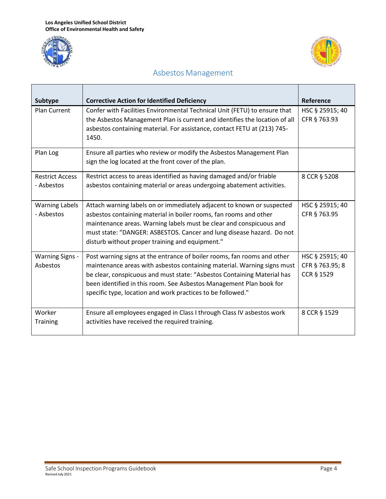



## Asbestos Management

| Subtype                              | <b>Corrective Action for Identified Deficiency</b>                                                                                                                                                                                                                                                                                                                  | Reference                                        |
|--------------------------------------|---------------------------------------------------------------------------------------------------------------------------------------------------------------------------------------------------------------------------------------------------------------------------------------------------------------------------------------------------------------------|--------------------------------------------------|
| <b>Plan Current</b>                  | Confer with Facilities Environmental Technical Unit (FETU) to ensure that<br>the Asbestos Management Plan is current and identifies the location of all<br>asbestos containing material. For assistance, contact FETU at (213) 745-<br>1450.                                                                                                                        | HSC § 25915; 40<br>CFR § 763.93                  |
| Plan Log                             | Ensure all parties who review or modify the Asbestos Management Plan<br>sign the log located at the front cover of the plan.                                                                                                                                                                                                                                        |                                                  |
| <b>Restrict Access</b><br>- Asbestos | Restrict access to areas identified as having damaged and/or friable<br>asbestos containing material or areas undergoing abatement activities.                                                                                                                                                                                                                      | 8 CCR § 5208                                     |
| <b>Warning Labels</b><br>- Asbestos  | Attach warning labels on or immediately adjacent to known or suspected<br>asbestos containing material in boiler rooms, fan rooms and other<br>maintenance areas. Warning labels must be clear and conspicuous and<br>must state: "DANGER: ASBESTOS. Cancer and lung disease hazard. Do not<br>disturb without proper training and equipment."                      | HSC § 25915; 40<br>CFR § 763.95                  |
| <b>Warning Signs -</b><br>Asbestos   | Post warning signs at the entrance of boiler rooms, fan rooms and other<br>maintenance areas with asbestos containing material. Warning signs must<br>be clear, conspicuous and must state: "Asbestos Containing Material has<br>been identified in this room. See Asbestos Management Plan book for<br>specific type, location and work practices to be followed." | HSC § 25915; 40<br>CFR § 763.95; 8<br>CCR § 1529 |
| Worker<br><b>Training</b>            | Ensure all employees engaged in Class I through Class IV asbestos work<br>activities have received the required training.                                                                                                                                                                                                                                           | 8 CCR § 1529                                     |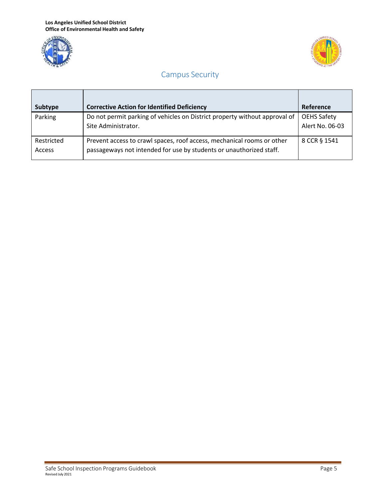



## Campus Security

<span id="page-5-0"></span>

| Subtype                     | <b>Corrective Action for Identified Deficiency</b>                                                                                            | Reference                             |
|-----------------------------|-----------------------------------------------------------------------------------------------------------------------------------------------|---------------------------------------|
| Parking                     | Do not permit parking of vehicles on District property without approval of<br>Site Administrator.                                             | <b>OEHS Safety</b><br>Alert No. 06-03 |
| Restricted<br><b>Access</b> | Prevent access to crawl spaces, roof access, mechanical rooms or other<br>passageways not intended for use by students or unauthorized staff. | 8 CCR § 1541                          |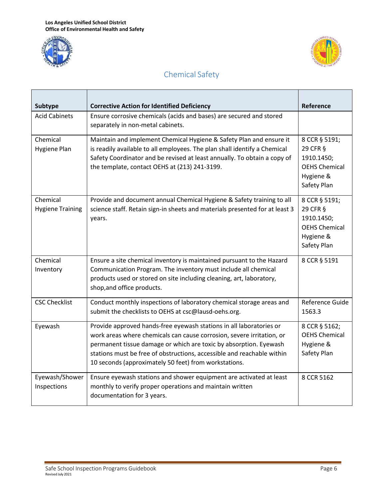



<span id="page-6-0"></span>

| Subtype                             | <b>Corrective Action for Identified Deficiency</b>                                                                                                                                                                                                                                                                                                   | Reference                                                                                   |
|-------------------------------------|------------------------------------------------------------------------------------------------------------------------------------------------------------------------------------------------------------------------------------------------------------------------------------------------------------------------------------------------------|---------------------------------------------------------------------------------------------|
| <b>Acid Cabinets</b>                | Ensure corrosive chemicals (acids and bases) are secured and stored<br>separately in non-metal cabinets.                                                                                                                                                                                                                                             |                                                                                             |
| Chemical<br><b>Hygiene Plan</b>     | Maintain and implement Chemical Hygiene & Safety Plan and ensure it<br>is readily available to all employees. The plan shall identify a Chemical<br>Safety Coordinator and be revised at least annually. To obtain a copy of<br>the template, contact OEHS at (213) 241-3199.                                                                        | 8 CCR § 5191;<br>29 CFR §<br>1910.1450;<br><b>OEHS Chemical</b><br>Hygiene &<br>Safety Plan |
| Chemical<br><b>Hygiene Training</b> | Provide and document annual Chemical Hygiene & Safety training to all<br>science staff. Retain sign-in sheets and materials presented for at least 3<br>years.                                                                                                                                                                                       | 8 CCR § 5191;<br>29 CFR §<br>1910.1450;<br><b>OEHS Chemical</b><br>Hygiene &<br>Safety Plan |
| Chemical<br>Inventory               | Ensure a site chemical inventory is maintained pursuant to the Hazard<br>Communication Program. The inventory must include all chemical<br>products used or stored on site including cleaning, art, laboratory,<br>shop, and office products.                                                                                                        | 8 CCR § 5191                                                                                |
| <b>CSC Checklist</b>                | Conduct monthly inspections of laboratory chemical storage areas and<br>submit the checklists to OEHS at csc@lausd-oehs.org.                                                                                                                                                                                                                         | Reference Guide<br>1563.3                                                                   |
| Eyewash                             | Provide approved hands-free eyewash stations in all laboratories or<br>work areas where chemicals can cause corrosion, severe irritation, or<br>permanent tissue damage or which are toxic by absorption. Eyewash<br>stations must be free of obstructions, accessible and reachable within<br>10 seconds (approximately 50 feet) from workstations. | 8 CCR § 5162;<br><b>OEHS Chemical</b><br>Hygiene &<br>Safety Plan                           |
| Eyewash/Shower<br>Inspections       | Ensure eyewash stations and shower equipment are activated at least<br>monthly to verify proper operations and maintain written<br>documentation for 3 years.                                                                                                                                                                                        | 8 CCR 5162                                                                                  |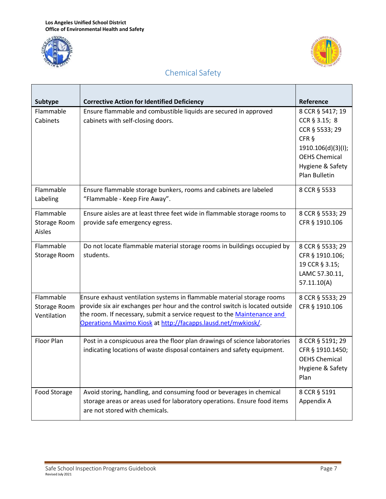



| <b>Subtype</b>                           | <b>Corrective Action for Identified Deficiency</b>                                                                                                                                                                                                                                                | Reference                                                                                                                                       |
|------------------------------------------|---------------------------------------------------------------------------------------------------------------------------------------------------------------------------------------------------------------------------------------------------------------------------------------------------|-------------------------------------------------------------------------------------------------------------------------------------------------|
| Flammable<br>Cabinets                    | Ensure flammable and combustible liquids are secured in approved<br>cabinets with self-closing doors.                                                                                                                                                                                             | 8 CCR § 5417; 19<br>CCR § 3.15; 8<br>CCR § 5533; 29<br>CFR §<br>1910.106(d)(3)(l);<br><b>OEHS Chemical</b><br>Hygiene & Safety<br>Plan Bulletin |
| Flammable<br>Labeling                    | Ensure flammable storage bunkers, rooms and cabinets are labeled<br>"Flammable - Keep Fire Away".                                                                                                                                                                                                 | 8 CCR § 5533                                                                                                                                    |
| Flammable<br>Storage Room<br>Aisles      | Ensure aisles are at least three feet wide in flammable storage rooms to<br>provide safe emergency egress.                                                                                                                                                                                        | 8 CCR § 5533; 29<br>CFR § 1910.106                                                                                                              |
| Flammable<br>Storage Room                | Do not locate flammable material storage rooms in buildings occupied by<br>students.                                                                                                                                                                                                              | 8 CCR § 5533; 29<br>CFR § 1910.106;<br>19 CCR § 3.15;<br>LAMC 57.30.11,<br>57.11.10(A)                                                          |
| Flammable<br>Storage Room<br>Ventilation | Ensure exhaust ventilation systems in flammable material storage rooms<br>provide six air exchanges per hour and the control switch is located outside<br>the room. If necessary, submit a service request to the Maintenance and<br>Operations Maximo Kiosk at http://facapps.lausd.net/mwkiosk/ | 8 CCR § 5533; 29<br>CFR § 1910.106                                                                                                              |
| Floor Plan                               | Post in a conspicuous area the floor plan drawings of science laboratories<br>indicating locations of waste disposal containers and safety equipment.                                                                                                                                             | 8 CCR § 5191; 29<br>CFR § 1910.1450;<br><b>OEHS Chemical</b><br>Hygiene & Safety<br>Plan                                                        |
| Food Storage                             | Avoid storing, handling, and consuming food or beverages in chemical<br>storage areas or areas used for laboratory operations. Ensure food items<br>are not stored with chemicals.                                                                                                                | 8 CCR § 5191<br>Appendix A                                                                                                                      |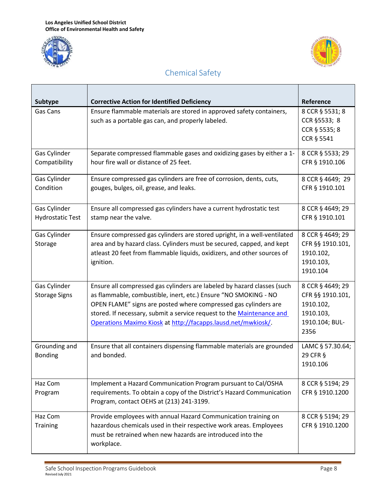



| Subtype                                 | <b>Corrective Action for Identified Deficiency</b>                                                                                                                                                                                                                                                                                                      | Reference                                                                                |
|-----------------------------------------|---------------------------------------------------------------------------------------------------------------------------------------------------------------------------------------------------------------------------------------------------------------------------------------------------------------------------------------------------------|------------------------------------------------------------------------------------------|
| Gas Cans                                | Ensure flammable materials are stored in approved safety containers,<br>such as a portable gas can, and properly labeled.                                                                                                                                                                                                                               | 8 CCR § 5531; 8<br>CCR §5533; 8<br>CCR § 5535; 8<br>CCR § 5541                           |
| Gas Cylinder<br>Compatibility           | Separate compressed flammable gases and oxidizing gases by either a 1-<br>hour fire wall or distance of 25 feet.                                                                                                                                                                                                                                        | 8 CCR § 5533; 29<br>CFR § 1910.106                                                       |
| Gas Cylinder<br>Condition               | Ensure compressed gas cylinders are free of corrosion, dents, cuts,<br>gouges, bulges, oil, grease, and leaks.                                                                                                                                                                                                                                          | 8 CCR § 4649; 29<br>CFR § 1910.101                                                       |
| Gas Cylinder<br><b>Hydrostatic Test</b> | Ensure all compressed gas cylinders have a current hydrostatic test<br>stamp near the valve.                                                                                                                                                                                                                                                            | 8 CCR § 4649; 29<br>CFR § 1910.101                                                       |
| Gas Cylinder<br>Storage                 | Ensure compressed gas cylinders are stored upright, in a well-ventilated<br>area and by hazard class. Cylinders must be secured, capped, and kept<br>atleast 20 feet from flammable liquids, oxidizers, and other sources of<br>ignition.                                                                                                               | 8 CCR § 4649; 29<br>CFR §§ 1910.101,<br>1910.102,<br>1910.103,<br>1910.104               |
| Gas Cylinder<br><b>Storage Signs</b>    | Ensure all compressed gas cylinders are labeled by hazard classes (such<br>as flammable, combustible, inert, etc.) Ensure "NO SMOKING - NO<br>OPEN FLAME" signs are posted where compressed gas cylinders are<br>stored. If necessary, submit a service request to the Maintenance and<br>Operations Maximo Kiosk at http://facapps.lausd.net/mwkiosk/. | 8 CCR § 4649; 29<br>CFR §§ 1910.101,<br>1910.102,<br>1910.103,<br>1910.104; BUL-<br>2356 |
| Grounding and<br><b>Bonding</b>         | Ensure that all containers dispensing flammable materials are grounded<br>and bonded.                                                                                                                                                                                                                                                                   | LAMC § 57.30.64;<br>29 CFR §<br>1910.106                                                 |
| Haz Com<br>Program                      | Implement a Hazard Communication Program pursuant to Cal/OSHA<br>requirements. To obtain a copy of the District's Hazard Communication<br>Program, contact OEHS at (213) 241-3199.                                                                                                                                                                      | 8 CCR § 5194; 29<br>CFR § 1910.1200                                                      |
| Haz Com<br>Training                     | Provide employees with annual Hazard Communication training on<br>hazardous chemicals used in their respective work areas. Employees<br>must be retrained when new hazards are introduced into the<br>workplace.                                                                                                                                        | 8 CCR § 5194; 29<br>CFR § 1910.1200                                                      |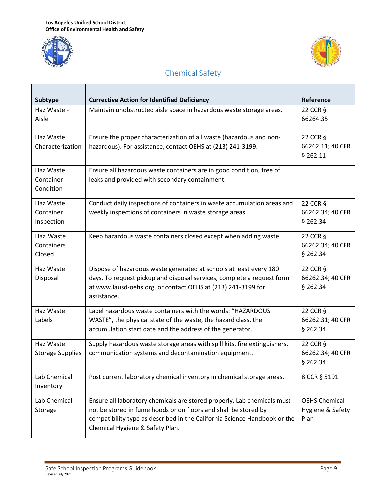



| Subtype                 | <b>Corrective Action for Identified Deficiency</b>                        | Reference            |
|-------------------------|---------------------------------------------------------------------------|----------------------|
| Haz Waste -             | Maintain unobstructed aisle space in hazardous waste storage areas.       | 22 CCR §             |
| Aisle                   |                                                                           | 66264.35             |
| Haz Waste               | Ensure the proper characterization of all waste (hazardous and non-       | 22 CCR §             |
| Characterization        | hazardous). For assistance, contact OEHS at (213) 241-3199.               | 66262.11; 40 CFR     |
|                         |                                                                           | $§$ 262.11           |
| Haz Waste               | Ensure all hazardous waste containers are in good condition, free of      |                      |
| Container               | leaks and provided with secondary containment.                            |                      |
| Condition               |                                                                           |                      |
| Haz Waste               | Conduct daily inspections of containers in waste accumulation areas and   | 22 CCR §             |
| Container               | weekly inspections of containers in waste storage areas.                  | 66262.34; 40 CFR     |
| Inspection              |                                                                           | § 262.34             |
| Haz Waste               | Keep hazardous waste containers closed except when adding waste.          | 22 CCR §             |
| Containers              |                                                                           | 66262.34; 40 CFR     |
| Closed                  |                                                                           | $§$ 262.34           |
| Haz Waste               | Dispose of hazardous waste generated at schools at least every 180        | 22 CCR §             |
| Disposal                | days. To request pickup and disposal services, complete a request form    | 66262.34; 40 CFR     |
|                         | at www.lausd-oehs.org, or contact OEHS at (213) 241-3199 for              | $§$ 262.34           |
|                         | assistance.                                                               |                      |
| Haz Waste               | Label hazardous waste containers with the words: "HAZARDOUS               | 22 CCR §             |
| Labels                  | WASTE", the physical state of the waste, the hazard class, the            | 66262.31; 40 CFR     |
|                         | accumulation start date and the address of the generator.                 | $§$ 262.34           |
| Haz Waste               | Supply hazardous waste storage areas with spill kits, fire extinguishers, | 22 CCR §             |
| <b>Storage Supplies</b> | communication systems and decontamination equipment.                      | 66262.34; 40 CFR     |
|                         |                                                                           | $§$ 262.34           |
| Lab Chemical            | Post current laboratory chemical inventory in chemical storage areas.     | 8 CCR § 5191         |
| Inventory               |                                                                           |                      |
| Lab Chemical            | Ensure all laboratory chemicals are stored properly. Lab chemicals must   | <b>OEHS Chemical</b> |
| Storage                 | not be stored in fume hoods or on floors and shall be stored by           | Hygiene & Safety     |
|                         | compatibility type as described in the California Science Handbook or the | Plan                 |
|                         | Chemical Hygiene & Safety Plan.                                           |                      |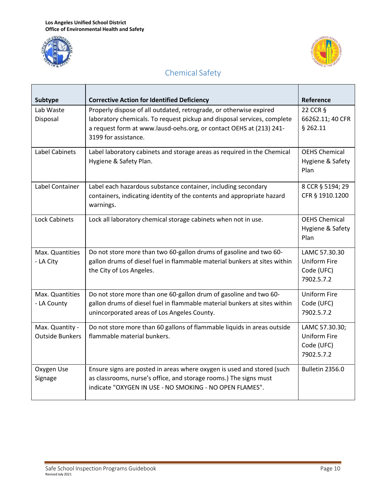



| Subtype                | <b>Corrective Action for Identified Deficiency</b>                        | Reference              |
|------------------------|---------------------------------------------------------------------------|------------------------|
| Lab Waste              | Properly dispose of all outdated, retrograde, or otherwise expired        | 22 CCR §               |
| Disposal               | laboratory chemicals. To request pickup and disposal services, complete   | 66262.11; 40 CFR       |
|                        | a request form at www.lausd-oehs.org, or contact OEHS at (213) 241-       | $§$ 262.11             |
|                        | 3199 for assistance.                                                      |                        |
| Label Cabinets         | Label laboratory cabinets and storage areas as required in the Chemical   | <b>OEHS Chemical</b>   |
|                        | Hygiene & Safety Plan.                                                    | Hygiene & Safety       |
|                        |                                                                           | Plan                   |
| Label Container        | Label each hazardous substance container, including secondary             | 8 CCR § 5194; 29       |
|                        | containers, indicating identity of the contents and appropriate hazard    | CFR § 1910.1200        |
|                        | warnings.                                                                 |                        |
| <b>Lock Cabinets</b>   | Lock all laboratory chemical storage cabinets when not in use.            | <b>OEHS Chemical</b>   |
|                        |                                                                           | Hygiene & Safety       |
|                        |                                                                           | Plan                   |
| Max. Quantities        | Do not store more than two 60-gallon drums of gasoline and two 60-        | LAMC 57.30.30          |
| - LA City              | gallon drums of diesel fuel in flammable material bunkers at sites within | <b>Uniform Fire</b>    |
|                        | the City of Los Angeles.                                                  | Code (UFC)             |
|                        |                                                                           | 7902.5.7.2             |
| Max. Quantities        | Do not store more than one 60-gallon drum of gasoline and two 60-         | <b>Uniform Fire</b>    |
| - LA County            | gallon drums of diesel fuel in flammable material bunkers at sites within | Code (UFC)             |
|                        | unincorporated areas of Los Angeles County.                               | 7902.5.7.2             |
| Max. Quantity -        | Do not store more than 60 gallons of flammable liquids in areas outside   | LAMC 57.30.30;         |
| <b>Outside Bunkers</b> | flammable material bunkers.                                               | <b>Uniform Fire</b>    |
|                        |                                                                           | Code (UFC)             |
|                        |                                                                           | 7902.5.7.2             |
| Oxygen Use             | Ensure signs are posted in areas where oxygen is used and stored (such    | <b>Bulletin 2356.0</b> |
| Signage                | as classrooms, nurse's office, and storage rooms.) The signs must         |                        |
|                        | indicate "OXYGEN IN USE - NO SMOKING - NO OPEN FLAMES".                   |                        |
|                        |                                                                           |                        |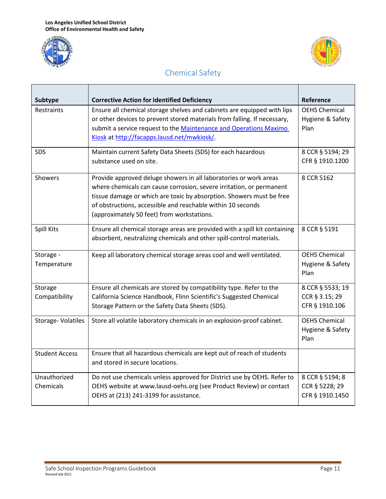



| Subtype                   | <b>Corrective Action for Identified Deficiency</b>                                                                                                                                                                                                                                                                             | Reference                                            |
|---------------------------|--------------------------------------------------------------------------------------------------------------------------------------------------------------------------------------------------------------------------------------------------------------------------------------------------------------------------------|------------------------------------------------------|
| Restraints                | Ensure all chemical storage shelves and cabinets are equipped with lips<br>or other devices to prevent stored materials from falling. If necessary,<br>submit a service request to the Maintenance and Operations Maximo<br>Kiosk at http://facapps.lausd.net/mwkiosk/.                                                        | <b>OEHS Chemical</b><br>Hygiene & Safety<br>Plan     |
| SDS                       | Maintain current Safety Data Sheets (SDS) for each hazardous<br>substance used on site.                                                                                                                                                                                                                                        | 8 CCR § 5194; 29<br>CFR § 1910.1200                  |
| Showers                   | Provide approved deluge showers in all laboratories or work areas<br>where chemicals can cause corrosion, severe irritation, or permanent<br>tissue damage or which are toxic by absorption. Showers must be free<br>of obstructions, accessible and reachable within 10 seconds<br>(approximately 50 feet) from workstations. | 8 CCR 5162                                           |
| Spill Kits                | Ensure all chemical storage areas are provided with a spill kit containing<br>absorbent, neutralizing chemicals and other spill-control materials.                                                                                                                                                                             | 8 CCR § 5191                                         |
| Storage -<br>Temperature  | Keep all laboratory chemical storage areas cool and well ventilated.                                                                                                                                                                                                                                                           | <b>OEHS Chemical</b><br>Hygiene & Safety<br>Plan     |
| Storage<br>Compatibility  | Ensure all chemicals are stored by compatibility type. Refer to the<br>California Science Handbook, Flinn Scientific's Suggested Chemical<br>Storage Pattern or the Safety Data Sheets (SDS).                                                                                                                                  | 8 CCR § 5533; 19<br>CCR § 3.15; 29<br>CFR § 1910.106 |
| <b>Storage-Volatiles</b>  | Store all volatile laboratory chemicals in an explosion-proof cabinet.                                                                                                                                                                                                                                                         | <b>OEHS Chemical</b><br>Hygiene & Safety<br>Plan     |
| <b>Student Access</b>     | Ensure that all hazardous chemicals are kept out of reach of students<br>and stored in secure locations.                                                                                                                                                                                                                       |                                                      |
| Unauthorized<br>Chemicals | Do not use chemicals unless approved for District use by OEHS. Refer to<br>OEHS website at www.lausd-oehs.org (see Product Review) or contact<br>OEHS at (213) 241-3199 for assistance.                                                                                                                                        | 8 CCR § 5194; 8<br>CCR § 5228; 29<br>CFR § 1910.1450 |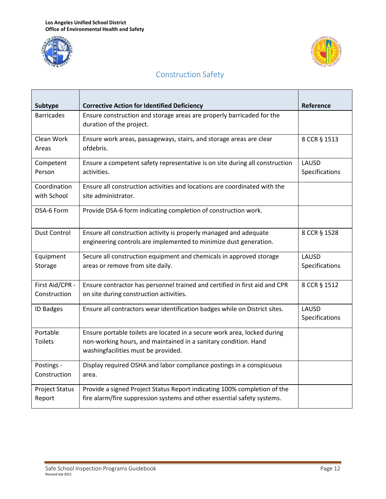



## Construction Safety

<span id="page-12-0"></span>

| Subtype                         | <b>Corrective Action for Identified Deficiency</b>                                                                                                                                 | Reference               |
|---------------------------------|------------------------------------------------------------------------------------------------------------------------------------------------------------------------------------|-------------------------|
| <b>Barricades</b>               | Ensure construction and storage areas are properly barricaded for the<br>duration of the project.                                                                                  |                         |
| Clean Work<br>Areas             | Ensure work areas, passageways, stairs, and storage areas are clear<br>ofdebris.                                                                                                   | 8 CCR § 1513            |
| Competent<br>Person             | Ensure a competent safety representative is on site during all construction<br>activities.                                                                                         | LAUSD<br>Specifications |
| Coordination<br>with School     | Ensure all construction activities and locations are coordinated with the<br>site administrator.                                                                                   |                         |
| DSA-6 Form                      | Provide DSA-6 form indicating completion of construction work.                                                                                                                     |                         |
| <b>Dust Control</b>             | Ensure all construction activity is properly managed and adequate<br>engineering controls are implemented to minimize dust generation.                                             | 8 CCR § 1528            |
| Equipment<br>Storage            | Secure all construction equipment and chemicals in approved storage<br>areas or remove from site daily.                                                                            | LAUSD<br>Specifications |
| First Aid/CPR -<br>Construction | Ensure contractor has personnel trained and certified in first aid and CPR<br>on site during construction activities.                                                              | 8 CCR § 1512            |
| <b>ID Badges</b>                | Ensure all contractors wear identification badges while on District sites.                                                                                                         | LAUSD<br>Specifications |
| Portable<br><b>Toilets</b>      | Ensure portable toilets are located in a secure work area, locked during<br>non-working hours, and maintained in a sanitary condition. Hand<br>washingfacilities must be provided. |                         |
| Postings -<br>Construction      | Display required OSHA and labor compliance postings in a conspicuous<br>area.                                                                                                      |                         |
| <b>Project Status</b><br>Report | Provide a signed Project Status Report indicating 100% completion of the<br>fire alarm/fire suppression systems and other essential safety systems.                                |                         |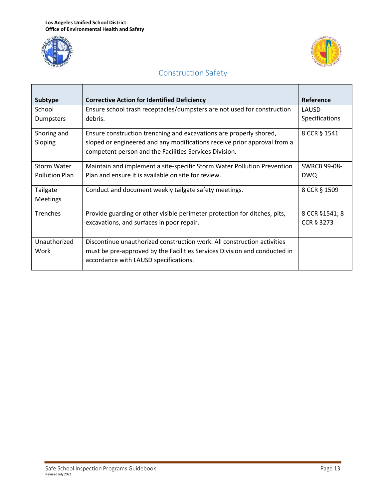



# Construction Safety

| Subtype               | <b>Corrective Action for Identified Deficiency</b>                        | Reference             |
|-----------------------|---------------------------------------------------------------------------|-----------------------|
| School                | Ensure school trash receptacles/dumpsters are not used for construction   | LAUSD                 |
| Dumpsters             | debris.                                                                   | <b>Specifications</b> |
| Shoring and           | Ensure construction trenching and excavations are properly shored,        | 8 CCR § 1541          |
| Sloping               | sloped or engineered and any modifications receive prior approval from a  |                       |
|                       | competent person and the Facilities Services Division.                    |                       |
| <b>Storm Water</b>    | Maintain and implement a site-specific Storm Water Pollution Prevention   | <b>SWRCB 99-08-</b>   |
| <b>Pollution Plan</b> | Plan and ensure it is available on site for review.                       | <b>DWQ</b>            |
| Tailgate              | Conduct and document weekly tailgate safety meetings.                     | 8 CCR § 1509          |
| Meetings              |                                                                           |                       |
| <b>Trenches</b>       | Provide guarding or other visible perimeter protection for ditches, pits, | 8 CCR §1541; 8        |
|                       | excavations, and surfaces in poor repair.                                 | CCR § 3273            |
|                       |                                                                           |                       |
| Unauthorized          | Discontinue unauthorized construction work. All construction activities   |                       |
| Work                  | must be pre-approved by the Facilities Services Division and conducted in |                       |
|                       | accordance with LAUSD specifications.                                     |                       |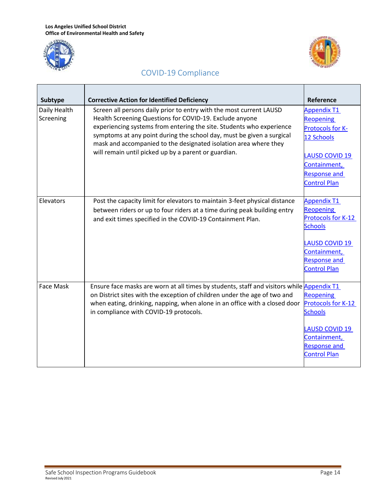



| Subtype                   | <b>Corrective Action for Identified Deficiency</b>                                                                                                                                                                                                                                                                                                                                                          | Reference                                                                                                                                                                    |
|---------------------------|-------------------------------------------------------------------------------------------------------------------------------------------------------------------------------------------------------------------------------------------------------------------------------------------------------------------------------------------------------------------------------------------------------------|------------------------------------------------------------------------------------------------------------------------------------------------------------------------------|
| Daily Health<br>Screening | Screen all persons daily prior to entry with the most current LAUSD<br>Health Screening Questions for COVID-19. Exclude anyone<br>experiencing systems from entering the site. Students who experience<br>symptoms at any point during the school day, must be given a surgical<br>mask and accompanied to the designated isolation area where they<br>will remain until picked up by a parent or guardian. | <b>Appendix T1</b><br><b>Reopening</b><br><b>Protocols for K-</b><br>12 Schools<br><b>LAUSD COVID 19</b><br>Containment,<br><b>Response and</b><br><b>Control Plan</b>       |
| Elevators                 | Post the capacity limit for elevators to maintain 3-feet physical distance<br>between riders or up to four riders at a time during peak building entry<br>and exit times specified in the COVID-19 Containment Plan.                                                                                                                                                                                        | <b>Appendix T1</b><br><b>Reopening</b><br><b>Protocols for K-12</b><br><b>Schools</b><br><b>LAUSD COVID 19</b><br>Containment,<br><b>Response and</b><br><b>Control Plan</b> |
| Face Mask                 | Ensure face masks are worn at all times by students, staff and visitors while Appendix T1<br>on District sites with the exception of children under the age of two and<br>when eating, drinking, napping, when alone in an office with a closed door<br>in compliance with COVID-19 protocols.                                                                                                              | <b>Reopening</b><br>Protocols for K-12<br><b>Schools</b><br><b>LAUSD COVID 19</b><br>Containment,<br><b>Response and</b><br><b>Control Plan</b>                              |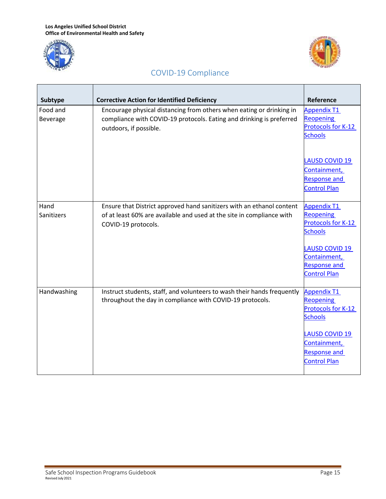



| Subtype              | <b>Corrective Action for Identified Deficiency</b>                                                                                                                     | Reference                                                                                                                                                             |
|----------------------|------------------------------------------------------------------------------------------------------------------------------------------------------------------------|-----------------------------------------------------------------------------------------------------------------------------------------------------------------------|
| Food and<br>Beverage | Encourage physical distancing from others when eating or drinking in<br>compliance with COVID-19 protocols. Eating and drinking is preferred<br>outdoors, if possible. | <b>Appendix T1</b><br><b>Reopening</b><br><b>Protocols for K-12</b><br><b>Schools</b>                                                                                 |
|                      |                                                                                                                                                                        | <b>LAUSD COVID 19</b><br>Containment,<br><b>Response and</b><br><b>Control Plan</b>                                                                                   |
| Hand<br>Sanitizers   | Ensure that District approved hand sanitizers with an ethanol content<br>of at least 60% are available and used at the site in compliance with<br>COVID-19 protocols.  | <b>Appendix T1</b><br><b>Reopening</b><br>Protocols for K-12<br><b>Schools</b><br><b>LAUSD COVID 19</b><br>Containment,<br><b>Response and</b><br><b>Control Plan</b> |
| Handwashing          | Instruct students, staff, and volunteers to wash their hands frequently<br>throughout the day in compliance with COVID-19 protocols.                                   | <b>Appendix T1</b><br><b>Reopening</b><br>Protocols for K-12<br><b>Schools</b><br><b>LAUSD COVID 19</b><br>Containment,<br><b>Response and</b><br><b>Control Plan</b> |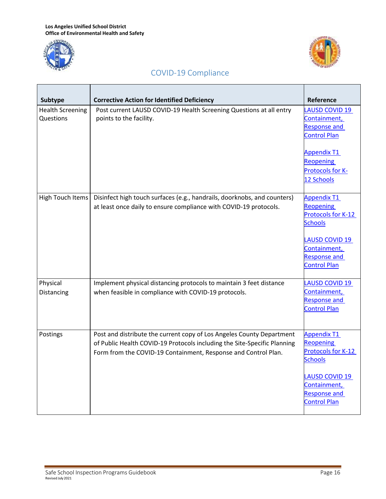



| Subtype                              | <b>Corrective Action for Identified Deficiency</b>                                                                                                                                                                  | Reference                                                                                                                                                             |
|--------------------------------------|---------------------------------------------------------------------------------------------------------------------------------------------------------------------------------------------------------------------|-----------------------------------------------------------------------------------------------------------------------------------------------------------------------|
| <b>Health Screening</b><br>Questions | Post current LAUSD COVID-19 Health Screening Questions at all entry<br>points to the facility.                                                                                                                      | <b>LAUSD COVID 19</b><br>Containment,<br><b>Response and</b><br><b>Control Plan</b><br><b>Appendix T1</b><br><b>Reopening</b><br>Protocols for K-<br>12 Schools       |
| High Touch Items                     | Disinfect high touch surfaces (e.g., handrails, doorknobs, and counters)<br>at least once daily to ensure compliance with COVID-19 protocols.                                                                       | <b>Appendix T1</b><br><b>Reopening</b><br>Protocols for K-12<br><b>Schools</b><br><b>LAUSD COVID 19</b><br>Containment,<br><b>Response and</b><br><b>Control Plan</b> |
| Physical<br>Distancing               | Implement physical distancing protocols to maintain 3 feet distance<br>when feasible in compliance with COVID-19 protocols.                                                                                         | <b>LAUSD COVID 19</b><br>Containment,<br><b>Response and</b><br><b>Control Plan</b>                                                                                   |
| Postings                             | Post and distribute the current copy of Los Angeles County Department<br>of Public Health COVID-19 Protocols including the Site-Specific Planning<br>Form from the COVID-19 Containment, Response and Control Plan. | <b>Appendix T1</b><br><b>Reopening</b><br>Protocols for K-12<br><b>Schools</b><br><b>LAUSD COVID 19</b><br>Containment,<br><b>Response and</b><br><b>Control Plan</b> |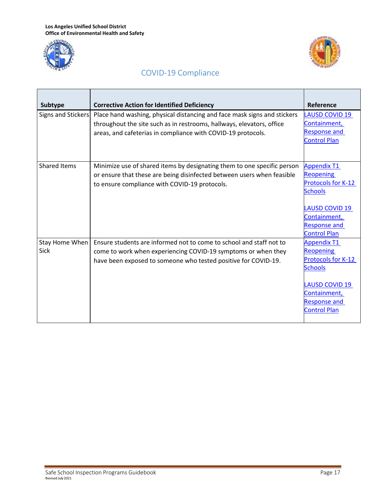



| Subtype             | <b>Corrective Action for Identified Deficiency</b>                       | Reference                           |
|---------------------|--------------------------------------------------------------------------|-------------------------------------|
| Signs and Stickers  | Place hand washing, physical distancing and face mask signs and stickers | <b>LAUSD COVID 19</b>               |
|                     | throughout the site such as in restrooms, hallways, elevators, office    | Containment,<br><b>Response and</b> |
|                     | areas, and cafeterias in compliance with COVID-19 protocols.             | <b>Control Plan</b>                 |
|                     |                                                                          |                                     |
| <b>Shared Items</b> | Minimize use of shared items by designating them to one specific person  | <b>Appendix T1</b>                  |
|                     | or ensure that these are being disinfected between users when feasible   | <b>Reopening</b>                    |
|                     | to ensure compliance with COVID-19 protocols.                            | <b>Protocols for K-12</b>           |
|                     |                                                                          | <b>Schools</b>                      |
|                     |                                                                          | <b>LAUSD COVID 19</b>               |
|                     |                                                                          | Containment,                        |
|                     |                                                                          | <b>Response and</b>                 |
|                     |                                                                          | <b>Control Plan</b>                 |
| Stay Home When      | Ensure students are informed not to come to school and staff not to      | <b>Appendix T1</b>                  |
| Sick                | come to work when experiencing COVID-19 symptoms or when they            | <b>Reopening</b>                    |
|                     | have been exposed to someone who tested positive for COVID-19.           | Protocols for K-12                  |
|                     |                                                                          | <b>Schools</b>                      |
|                     |                                                                          | LAUSD COVID 19                      |
|                     |                                                                          | Containment,                        |
|                     |                                                                          | <b>Response and</b>                 |
|                     |                                                                          | <b>Control Plan</b>                 |
|                     |                                                                          |                                     |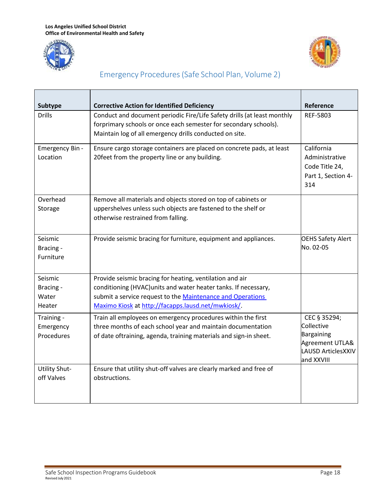



# Emergency Procedures(Safe School Plan, Volume 2)

<span id="page-18-0"></span>

| <b>Subtype</b>          | <b>Corrective Action for Identified Deficiency</b>                                                                          | Reference                  |
|-------------------------|-----------------------------------------------------------------------------------------------------------------------------|----------------------------|
| <b>Drills</b>           | Conduct and document periodic Fire/Life Safety drills (at least monthly                                                     | REF-5803                   |
|                         | forprimary schools or once each semester for secondary schools).                                                            |                            |
|                         | Maintain log of all emergency drills conducted on site.                                                                     |                            |
| Emergency Bin -         | Ensure cargo storage containers are placed on concrete pads, at least                                                       | California                 |
| Location                | 20feet from the property line or any building.                                                                              | Administrative             |
|                         |                                                                                                                             | Code Title 24,             |
|                         |                                                                                                                             | Part 1, Section 4-         |
|                         |                                                                                                                             | 314                        |
| Overhead                | Remove all materials and objects stored on top of cabinets or                                                               |                            |
| Storage                 | uppershelves unless such objects are fastened to the shelf or                                                               |                            |
|                         | otherwise restrained from falling.                                                                                          |                            |
|                         |                                                                                                                             |                            |
| Seismic                 | Provide seismic bracing for furniture, equipment and appliances.                                                            | <b>OEHS Safety Alert</b>   |
| Bracing -               |                                                                                                                             | No. 02-05                  |
| Furniture               |                                                                                                                             |                            |
| Seismic                 |                                                                                                                             |                            |
| Bracing -               | Provide seismic bracing for heating, ventilation and air<br>conditioning (HVAC) units and water heater tanks. If necessary, |                            |
| Water                   | submit a service request to the Maintenance and Operations                                                                  |                            |
| Heater                  | Maximo Kiosk at http://facapps.lausd.net/mwkiosk/.                                                                          |                            |
|                         |                                                                                                                             |                            |
| Training -<br>Emergency | Train all employees on emergency procedures within the first<br>three months of each school year and maintain documentation | CEC § 35294;<br>Collective |
| Procedures              | of date oftraining, agenda, training materials and sign-in sheet.                                                           | <b>Bargaining</b>          |
|                         |                                                                                                                             | Agreement UTLA&            |
|                         |                                                                                                                             | LAUSD ArticlesXXIV         |
|                         |                                                                                                                             | and XXVIII                 |
| <b>Utility Shut-</b>    | Ensure that utility shut-off valves are clearly marked and free of                                                          |                            |
| off Valves              | obstructions.                                                                                                               |                            |
|                         |                                                                                                                             |                            |
|                         |                                                                                                                             |                            |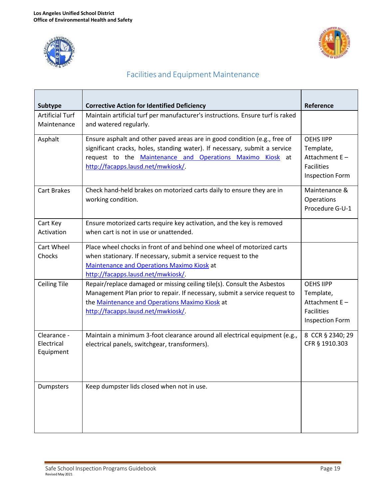



| Subtype                                | <b>Corrective Action for Identified Deficiency</b>                                                                                                                                                                                                         | Reference                                                                                     |
|----------------------------------------|------------------------------------------------------------------------------------------------------------------------------------------------------------------------------------------------------------------------------------------------------------|-----------------------------------------------------------------------------------------------|
| <b>Artificial Turf</b><br>Maintenance  | Maintain artificial turf per manufacturer's instructions. Ensure turf is raked<br>and watered regularly.                                                                                                                                                   |                                                                                               |
| Asphalt                                | Ensure asphalt and other paved areas are in good condition (e.g., free of<br>significant cracks, holes, standing water). If necessary, submit a service<br>request to the Maintenance and Operations Maximo Kiosk at<br>http://facapps.lausd.net/mwkiosk/. | <b>OEHS IIPP</b><br>Template,<br>Attachment E-<br><b>Facilities</b><br><b>Inspection Form</b> |
| <b>Cart Brakes</b>                     | Check hand-held brakes on motorized carts daily to ensure they are in<br>working condition.                                                                                                                                                                | Maintenance &<br>Operations<br>Procedure G-U-1                                                |
| Cart Key<br>Activation                 | Ensure motorized carts require key activation, and the key is removed<br>when cart is not in use or unattended.                                                                                                                                            |                                                                                               |
| Cart Wheel<br>Chocks                   | Place wheel chocks in front of and behind one wheel of motorized carts<br>when stationary. If necessary, submit a service request to the<br>Maintenance and Operations Maximo Kiosk at<br>http://facapps.lausd.net/mwkiosk/                                |                                                                                               |
| <b>Ceiling Tile</b>                    | Repair/replace damaged or missing ceiling tile(s). Consult the Asbestos<br>Management Plan prior to repair. If necessary, submit a service request to<br>the Maintenance and Operations Maximo Kiosk at<br>http://facapps.lausd.net/mwkiosk/.              | <b>OEHS IIPP</b><br>Template,<br>Attachment E-<br><b>Facilities</b><br><b>Inspection Form</b> |
| Clearance -<br>Electrical<br>Equipment | Maintain a minimum 3-foot clearance around all electrical equipment (e.g.,<br>electrical panels, switchgear, transformers).                                                                                                                                | 8 CCR § 2340; 29<br>CFR § 1910.303                                                            |
| Dumpsters                              | Keep dumpster lids closed when not in use.                                                                                                                                                                                                                 |                                                                                               |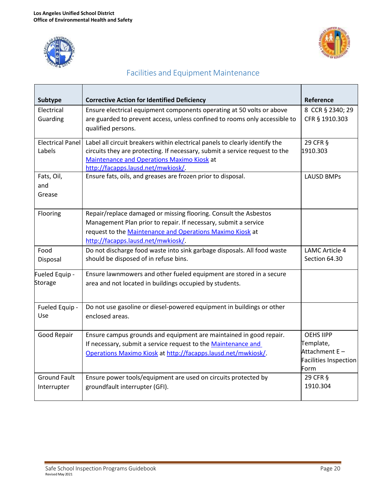



| Subtype                 | <b>Corrective Action for Identified Deficiency</b>                                                 | Reference                                     |
|-------------------------|----------------------------------------------------------------------------------------------------|-----------------------------------------------|
| Electrical              | Ensure electrical equipment components operating at 50 volts or above                              | 8 CCR § 2340; 29                              |
| Guarding                | are guarded to prevent access, unless confined to rooms only accessible to                         | CFR § 1910.303                                |
|                         | qualified persons.                                                                                 |                                               |
| <b>Electrical Panel</b> | Label all circuit breakers within electrical panels to clearly identify the                        | 29 CFR §                                      |
| Labels                  | circuits they are protecting. If necessary, submit a service request to the                        | 1910.303                                      |
|                         | Maintenance and Operations Maximo Kiosk at                                                         |                                               |
| Fats, Oil,              | http://facapps.lausd.net/mwkiosk/.<br>Ensure fats, oils, and greases are frozen prior to disposal. | <b>LAUSD BMPs</b>                             |
| and                     |                                                                                                    |                                               |
| Grease                  |                                                                                                    |                                               |
|                         |                                                                                                    |                                               |
| Flooring                | Repair/replace damaged or missing flooring. Consult the Asbestos                                   |                                               |
|                         | Management Plan prior to repair. If necessary, submit a service                                    |                                               |
|                         | request to the Maintenance and Operations Maximo Kiosk at                                          |                                               |
|                         | http://facapps.lausd.net/mwkiosk/.                                                                 |                                               |
| Food                    | Do not discharge food waste into sink garbage disposals. All food waste                            | LAMC Article 4                                |
| Disposal                | should be disposed of in refuse bins.                                                              | Section 64.30                                 |
| Fueled Equip -          | Ensure lawnmowers and other fueled equipment are stored in a secure                                |                                               |
| <b>Storage</b>          | area and not located in buildings occupied by students.                                            |                                               |
|                         |                                                                                                    |                                               |
| Fueled Equip -          | Do not use gasoline or diesel-powered equipment in buildings or other                              |                                               |
| Use                     | enclosed areas.                                                                                    |                                               |
|                         |                                                                                                    |                                               |
| Good Repair             | Ensure campus grounds and equipment are maintained in good repair.                                 | <b>OEHS IIPP</b>                              |
|                         | If necessary, submit a service request to the Maintenance and                                      | Template,                                     |
|                         | Operations Maximo Kiosk at http://facapps.lausd.net/mwkiosk/.                                      | Attachment E-<br><b>Facilities Inspection</b> |
|                         |                                                                                                    | Form                                          |
| <b>Ground Fault</b>     | Ensure power tools/equipment are used on circuits protected by                                     | 29 CFR §                                      |
| Interrupter             | groundfault interrupter (GFI).                                                                     | 1910.304                                      |
|                         |                                                                                                    |                                               |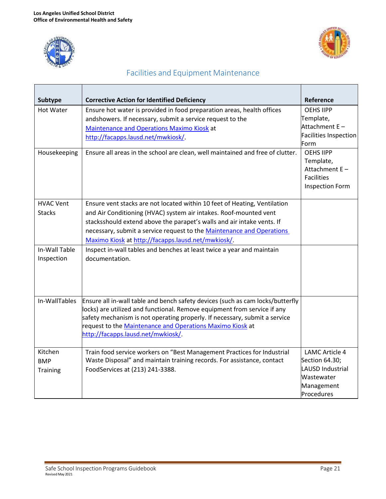



| Subtype          | <b>Corrective Action for Identified Deficiency</b>                                                                                      | Reference                    |
|------------------|-----------------------------------------------------------------------------------------------------------------------------------------|------------------------------|
| <b>Hot Water</b> | Ensure hot water is provided in food preparation areas, health offices                                                                  | <b>OEHS IIPP</b>             |
|                  | andshowers. If necessary, submit a service request to the                                                                               | Template,                    |
|                  | Maintenance and Operations Maximo Kiosk at                                                                                              | Attachment E-                |
|                  | http://facapps.lausd.net/mwkiosk/.                                                                                                      | <b>Facilities Inspection</b> |
|                  |                                                                                                                                         | Form                         |
| Housekeeping     | Ensure all areas in the school are clean, well maintained and free of clutter.                                                          | <b>OEHS IIPP</b>             |
|                  |                                                                                                                                         | Template,<br>Attachment E-   |
|                  |                                                                                                                                         | <b>Facilities</b>            |
|                  |                                                                                                                                         | <b>Inspection Form</b>       |
|                  |                                                                                                                                         |                              |
| <b>HVAC Vent</b> | Ensure vent stacks are not located within 10 feet of Heating, Ventilation                                                               |                              |
| <b>Stacks</b>    | and Air Conditioning (HVAC) system air intakes. Roof-mounted vent                                                                       |                              |
|                  | stacksshould extend above the parapet's walls and air intake vents. If                                                                  |                              |
|                  | necessary, submit a service request to the Maintenance and Operations                                                                   |                              |
|                  | Maximo Kiosk at http://facapps.lausd.net/mwkiosk/.                                                                                      |                              |
| In-Wall Table    | Inspect in-wall tables and benches at least twice a year and maintain                                                                   |                              |
| Inspection       | documentation.                                                                                                                          |                              |
|                  |                                                                                                                                         |                              |
|                  |                                                                                                                                         |                              |
|                  |                                                                                                                                         |                              |
|                  |                                                                                                                                         |                              |
| In-WallTables    | Ensure all in-wall table and bench safety devices (such as cam locks/butterfly                                                          |                              |
|                  | locks) are utilized and functional. Remove equipment from service if any                                                                |                              |
|                  | safety mechanism is not operating properly. If necessary, submit a service<br>request to the Maintenance and Operations Maximo Kiosk at |                              |
|                  | http://facapps.lausd.net/mwkiosk/.                                                                                                      |                              |
|                  |                                                                                                                                         |                              |
| Kitchen          | Train food service workers on "Best Management Practices for Industrial                                                                 | <b>LAMC Article 4</b>        |
| <b>BMP</b>       | Waste Disposal" and maintain training records. For assistance, contact                                                                  | Section 64.30;               |
| Training         | FoodServices at (213) 241-3388.                                                                                                         | <b>LAUSD Industrial</b>      |
|                  |                                                                                                                                         | Wastewater                   |
|                  |                                                                                                                                         | Management                   |
|                  |                                                                                                                                         | Procedures                   |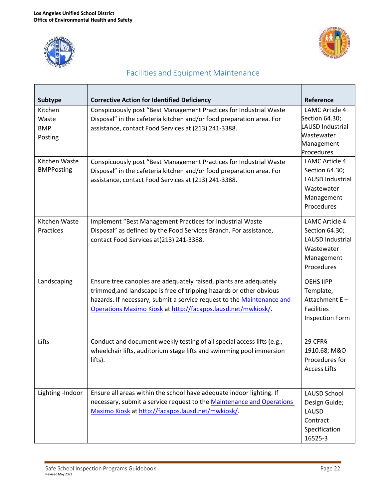



| <b>Subtype</b>                            | <b>Corrective Action for Identified Deficiency</b>                                                                                                                                                                                                                                  | Reference                                                                                                    |
|-------------------------------------------|-------------------------------------------------------------------------------------------------------------------------------------------------------------------------------------------------------------------------------------------------------------------------------------|--------------------------------------------------------------------------------------------------------------|
| Kitchen<br>Waste<br><b>BMP</b><br>Posting | Conspicuously post "Best Management Practices for Industrial Waste<br>Disposal" in the cafeteria kitchen and/or food preparation area. For<br>assistance, contact Food Services at (213) 241-3388.                                                                                  | <b>LAMC Article 4</b><br>Section 64.30;<br>LAUSD Industrial<br>Wastewater<br>Management<br>Procedures        |
| Kitchen Waste<br><b>BMPPosting</b>        | Conspicuously post "Best Management Practices for Industrial Waste<br>Disposal" in the cafeteria kitchen and/or food preparation area. For<br>assistance, contact Food Services at (213) 241-3388.                                                                                  | <b>LAMC Article 4</b><br>Section 64.30;<br><b>LAUSD Industrial</b><br>Wastewater<br>Management<br>Procedures |
| Kitchen Waste<br>Practices                | Implement "Best Management Practices for Industrial Waste<br>Disposal" as defined by the Food Services Branch. For assistance,<br>contact Food Services at(213) 241-3388.                                                                                                           | <b>LAMC Article 4</b><br>Section 64.30;<br><b>LAUSD Industrial</b><br>Wastewater<br>Management<br>Procedures |
| Landscaping                               | Ensure tree canopies are adequately raised, plants are adequately<br>trimmed, and landscape is free of tripping hazards or other obvious<br>hazards. If necessary, submit a service request to the Maintenance and<br>Operations Maximo Kiosk at http://facapps.lausd.net/mwkiosk/. | <b>OEHS IIPP</b><br>Template,<br>Attachment E-<br><b>Facilities</b><br><b>Inspection Form</b>                |
| Lifts                                     | Conduct and document weekly testing of all special access lifts (e.g.,<br>wheelchair lifts, auditorium stage lifts and swimming pool immersion<br>lifts).                                                                                                                           | 29 CFR§<br>1910.68; M&O<br>Procedures for<br><b>Access Lifts</b>                                             |
| Lighting -Indoor                          | Ensure all areas within the school have adequate indoor lighting. If<br>necessary, submit a service request to the Maintenance and Operations<br>Maximo Kiosk at http://facapps.lausd.net/mwkiosk/.                                                                                 | <b>LAUSD School</b><br>Design Guide;<br>LAUSD<br>Contract<br>Specification<br>16525-3                        |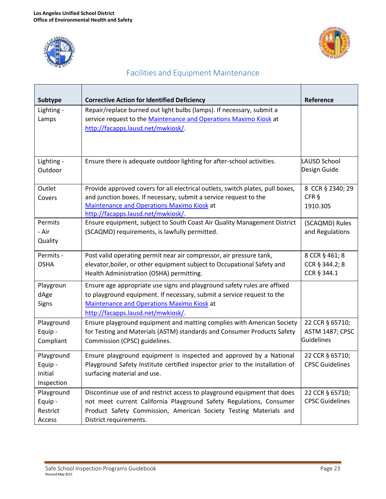



| <b>Subtype</b> | <b>Corrective Action for Identified Deficiency</b>                             | Reference              |
|----------------|--------------------------------------------------------------------------------|------------------------|
| Lighting -     | Repair/replace burned out light bulbs (lamps). If necessary, submit a          |                        |
| Lamps          | service request to the Maintenance and Operations Maximo Kiosk at              |                        |
|                | http://facapps.lausd.net/mwkiosk/.                                             |                        |
|                |                                                                                |                        |
|                |                                                                                |                        |
| Lighting -     | Ensure there is adequate outdoor lighting for after-school activities.         | LAUSD School           |
| Outdoor        |                                                                                | Design Guide           |
|                |                                                                                |                        |
| Outlet         | Provide approved covers for all electrical outlets, switch plates, pull boxes, | 8 CCR § 2340; 29       |
| Covers         | and junction boxes. If necessary, submit a service request to the              | CFR §                  |
|                | <b>Maintenance and Operations Maximo Kiosk at</b>                              | 1910.305               |
|                | http://facapps.lausd.net/mwkiosk/                                              |                        |
| Permits        | Ensure equipment, subject to South Coast Air Quality Management District       | (SCAQMD) Rules         |
| - Air          | (SCAQMD) requirements, is lawfully permitted.                                  | and Regulations        |
| Quality        |                                                                                |                        |
| Permits -      | Post valid operating permit near air compressor, air pressure tank,            | 8 CCR § 461; 8         |
| <b>OSHA</b>    | elevator, boiler, or other equipment subject to Occupational Safety and        | CCR § 344.2; 8         |
|                | Health Administration (OSHA) permitting.                                       | CCR § 344.1            |
| Playgroun      | Ensure age appropriate use signs and playground safety rules are affixed       |                        |
| dAge           | to playground equipment. If necessary, submit a service request to the         |                        |
| Signs          | <b>Maintenance and Operations Maximo Kiosk at</b>                              |                        |
|                | http://facapps.lausd.net/mwkiosk/                                              |                        |
| Playground     | Ensure playground equipment and matting complies with American Society         | 22 CCR § 65710;        |
| Equip -        | for Testing and Materials (ASTM) standards and Consumer Products Safety        | ASTM 1487; CPSC        |
| Compliant      | Commission (CPSC) guidelines.                                                  | <b>Guidelines</b>      |
| Playground     | Ensure playground equipment is inspected and approved by a National            | 22 CCR § 65710;        |
| Equip -        | Playground Safety Institute certified inspector prior to the installation of   | <b>CPSC Guidelines</b> |
| Initial        | surfacing material and use.                                                    |                        |
| Inspection     |                                                                                |                        |
| Playground     | Discontinue use of and restrict access to playground equipment that does       | 22 CCR § 65710;        |
| Equip -        | not meet current California Playground Safety Regulations, Consumer            | <b>CPSC Guidelines</b> |
| Restrict       | Product Safety Commission, American Society Testing Materials and              |                        |
| Access         | District requirements.                                                         |                        |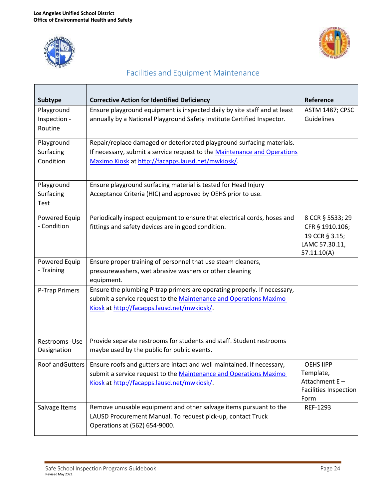



| <b>Subtype</b>                         | <b>Corrective Action for Identified Deficiency</b>                                                                                                                                                       | Reference                                                                              |
|----------------------------------------|----------------------------------------------------------------------------------------------------------------------------------------------------------------------------------------------------------|----------------------------------------------------------------------------------------|
| Playground<br>Inspection -<br>Routine  | Ensure playground equipment is inspected daily by site staff and at least<br>annually by a National Playground Safety Institute Certified Inspector.                                                     | ASTM 1487; CPSC<br>Guidelines                                                          |
| Playground<br>Surfacing<br>Condition   | Repair/replace damaged or deteriorated playground surfacing materials.<br>If necessary, submit a service request to the Maintenance and Operations<br>Maximo Kiosk at http://facapps.lausd.net/mwkiosk/. |                                                                                        |
| Playground<br>Surfacing<br><b>Test</b> | Ensure playground surfacing material is tested for Head Injury<br>Acceptance Criteria (HIC) and approved by OEHS prior to use.                                                                           |                                                                                        |
| Powered Equip<br>- Condition           | Periodically inspect equipment to ensure that electrical cords, hoses and<br>fittings and safety devices are in good condition.                                                                          | 8 CCR § 5533; 29<br>CFR § 1910.106;<br>19 CCR § 3.15;<br>LAMC 57.30.11,<br>57.11.10(A) |
| Powered Equip<br>- Training            | Ensure proper training of personnel that use steam cleaners,<br>pressurewashers, wet abrasive washers or other cleaning<br>equipment.                                                                    |                                                                                        |
| P-Trap Primers                         | Ensure the plumbing P-trap primers are operating properly. If necessary,<br>submit a service request to the Maintenance and Operations Maximo<br>Kiosk at http://facapps.lausd.net/mwkiosk/.             |                                                                                        |
| Restrooms - Use<br>Designation         | Provide separate restrooms for students and staff. Student restrooms<br>maybe used by the public for public events.                                                                                      |                                                                                        |
| Roof and Gutters                       | Ensure roofs and gutters are intact and well maintained. If necessary,<br>submit a service request to the Maintenance and Operations Maximo<br>Kiosk at http://facapps.lausd.net/mwkiosk/.               | <b>OEHS IIPP</b><br>Template,<br>Attachment E-<br>Facilities Inspection<br>Form        |
| Salvage Items                          | Remove unusable equipment and other salvage items pursuant to the<br>LAUSD Procurement Manual. To request pick-up, contact Truck<br>Operations at (562) 654-9000.                                        | REF-1293                                                                               |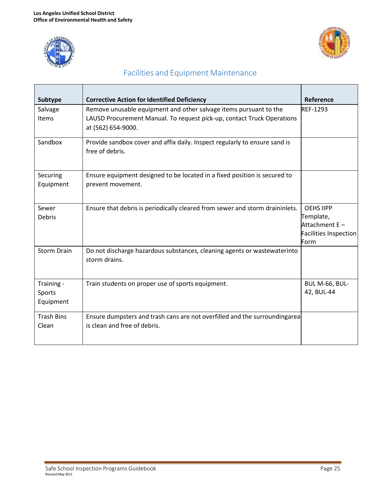



| Subtype                           | <b>Corrective Action for Identified Deficiency</b>                                                                                                                | Reference                                                                       |
|-----------------------------------|-------------------------------------------------------------------------------------------------------------------------------------------------------------------|---------------------------------------------------------------------------------|
| Salvage<br>Items                  | Remove unusable equipment and other salvage items pursuant to the<br>LAUSD Procurement Manual. To request pick-up, contact Truck Operations<br>at (562) 654-9000. | <b>REF-1293</b>                                                                 |
| Sandbox                           | Provide sandbox cover and affix daily. Inspect regularly to ensure sand is<br>free of debris.                                                                     |                                                                                 |
| Securing<br>Equipment             | Ensure equipment designed to be located in a fixed position is secured to<br>prevent movement.                                                                    |                                                                                 |
| Sewer<br>Debris                   | Ensure that debris is periodically cleared from sewer and storm draininlets.                                                                                      | OEHS IIPP<br>Template,<br>Attachment E-<br><b>Facilities Inspection</b><br>Form |
| <b>Storm Drain</b>                | Do not discharge hazardous substances, cleaning agents or wastewaterinto<br>storm drains.                                                                         |                                                                                 |
| Training -<br>Sports<br>Equipment | Train students on proper use of sports equipment.                                                                                                                 | BUL M-66, BUL-<br>42, BUL-44                                                    |
| <b>Trash Bins</b><br>Clean        | Ensure dumpsters and trash cans are not overfilled and the surroundingarea<br>is clean and free of debris.                                                        |                                                                                 |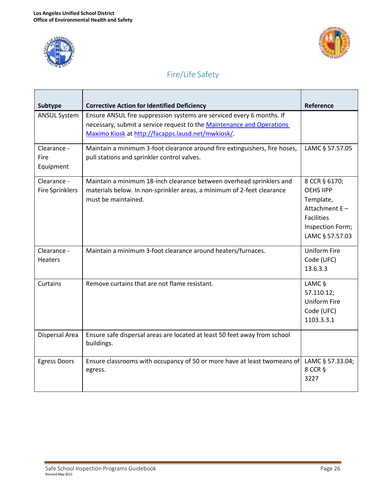



<span id="page-26-0"></span>

| Subtype                               | <b>Corrective Action for Identified Deficiency</b>                                                                                                                                                   | Reference                                                                                                                      |
|---------------------------------------|------------------------------------------------------------------------------------------------------------------------------------------------------------------------------------------------------|--------------------------------------------------------------------------------------------------------------------------------|
| <b>ANSUL System</b>                   | Ensure ANSUL fire suppression systems are serviced every 6 months. If<br>necessary, submit a service request to the Maintenance and Operations<br>Maximo Kiosk at http://facapps.lausd.net/mwkiosk/. |                                                                                                                                |
| Clearance -<br>Fire<br>Equipment      | Maintain a minimum 3-foot clearance around fire extinguishers, fire hoses,<br>pull stations and sprinkler control valves.                                                                            | LAMC § 57.57.05                                                                                                                |
| Clearance -<br><b>Fire Sprinklers</b> | Maintain a minimum 18-inch clearance between overhead sprinklers and<br>materials below. In non-sprinkler areas, a minimum of 2-feet clearance<br>must be maintained.                                | 8 CCR § 6170;<br><b>OEHS IIPP</b><br>Template,<br>Attachment $E -$<br><b>Facilities</b><br>Inspection Form;<br>LAMC § 57.57.03 |
| Clearance -<br><b>Heaters</b>         | Maintain a minimum 3-foot clearance around heaters/furnaces.                                                                                                                                         | <b>Uniform Fire</b><br>Code (UFC)<br>13.6.3.3                                                                                  |
| <b>Curtains</b>                       | Remove curtains that are not flame resistant.                                                                                                                                                        | LAMC $§$<br>57.110.12;<br><b>Uniform Fire</b><br>Code (UFC)<br>1103.3.3.1                                                      |
| Dispersal Area                        | Ensure safe dispersal areas are located at least 50 feet away from school<br>buildings.                                                                                                              |                                                                                                                                |
| <b>Egress Doors</b>                   | Ensure classrooms with occupancy of 50 or more have at least twomeans of<br>egress.                                                                                                                  | LAMC § 57.33.04;<br>8 CCR §<br>3227                                                                                            |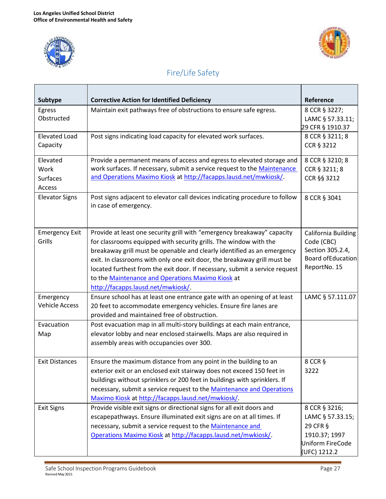



| Subtype               | <b>Corrective Action for Identified Deficiency</b>                          | Reference                  |
|-----------------------|-----------------------------------------------------------------------------|----------------------------|
| Egress                | Maintain exit pathways free of obstructions to ensure safe egress.          | 8 CCR § 3227;              |
| Obstructed            |                                                                             | LAMC § 57.33.11;           |
|                       |                                                                             | 29 CFR § 1910.37           |
| <b>Elevated Load</b>  | Post signs indicating load capacity for elevated work surfaces.             | 8 CCR § 3211; 8            |
| Capacity              |                                                                             | CCR § 3212                 |
| Elevated              | Provide a permanent means of access and egress to elevated storage and      | 8 CCR § 3210; 8            |
| Work                  | work surfaces. If necessary, submit a service request to the Maintenance    | CCR § 3211; 8              |
| <b>Surfaces</b>       | and Operations Maximo Kiosk at http://facapps.lausd.net/mwkiosk/.           | CCR §§ 3212                |
| Access                |                                                                             |                            |
| <b>Elevator Signs</b> | Post signs adjacent to elevator call devices indicating procedure to follow | 8 CCR § 3041               |
|                       | in case of emergency.                                                       |                            |
|                       |                                                                             |                            |
| <b>Emergency Exit</b> | Provide at least one security grill with "emergency breakaway" capacity     | <b>California Building</b> |
| Grills                | for classrooms equipped with security grills. The window with the           | Code (CBC)                 |
|                       | breakaway grill must be openable and clearly identified as an emergency     | Section 305.2.4,           |
|                       | exit. In classrooms with only one exit door, the breakaway grill must be    | <b>Board of Education</b>  |
|                       | located furthest from the exit door. If necessary, submit a service request | ReportNo. 15               |
|                       | to the Maintenance and Operations Maximo Kiosk at                           |                            |
|                       | http://facapps.lausd.net/mwkiosk/.                                          |                            |
| Emergency             | Ensure school has at least one entrance gate with an opening of at least    | LAMC § 57.111.07           |
| <b>Vehicle Access</b> | 20 feet to accommodate emergency vehicles. Ensure fire lanes are            |                            |
|                       | provided and maintained free of obstruction.                                |                            |
| Evacuation            | Post evacuation map in all multi-story buildings at each main entrance,     |                            |
| Map                   | elevator lobby and near enclosed stairwells. Maps are also required in      |                            |
|                       | assembly areas with occupancies over 300.                                   |                            |
|                       |                                                                             |                            |
| <b>Exit Distances</b> | Ensure the maximum distance from any point in the building to an            | 8 CCR §                    |
|                       | exterior exit or an enclosed exit stairway does not exceed 150 feet in      | 3222                       |
|                       | buildings without sprinklers or 200 feet in buildings with sprinklers. If   |                            |
|                       | necessary, submit a service request to the Maintenance and Operations       |                            |
|                       | Maximo Kiosk at http://facapps.lausd.net/mwkiosk/.                          |                            |
| <b>Exit Signs</b>     | Provide visible exit signs or directional signs for all exit doors and      | 8 CCR § 3216;              |
|                       | escapepathways. Ensure illuminated exit signs are on at all times. If       | LAMC § 57.33.15;           |
|                       | necessary, submit a service request to the Maintenance and                  | 29 CFR §                   |
|                       | Operations Maximo Kiosk at http://facapps.lausd.net/mwkiosk/                | 1910.37; 1997              |
|                       |                                                                             | Uniform FireCode           |
|                       |                                                                             | (UFC) 1212.2               |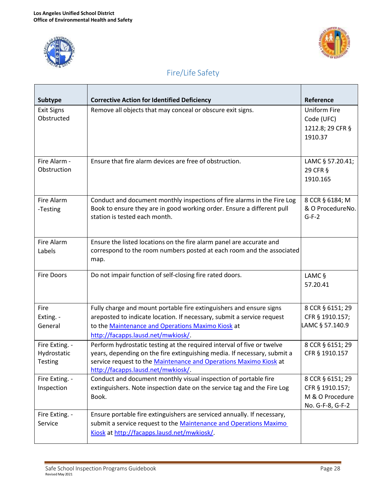



| <b>Subtype</b>                                  | <b>Corrective Action for Identified Deficiency</b>                                                                                                                                                                                                           | Reference                                                                  |
|-------------------------------------------------|--------------------------------------------------------------------------------------------------------------------------------------------------------------------------------------------------------------------------------------------------------------|----------------------------------------------------------------------------|
| <b>Exit Signs</b><br>Obstructed                 | Remove all objects that may conceal or obscure exit signs.                                                                                                                                                                                                   | <b>Uniform Fire</b><br>Code (UFC)<br>1212.8; 29 CFR §<br>1910.37           |
| Fire Alarm -<br>Obstruction                     | Ensure that fire alarm devices are free of obstruction.                                                                                                                                                                                                      | LAMC § 57.20.41;<br>29 CFR §<br>1910.165                                   |
| Fire Alarm<br>-Testing                          | Conduct and document monthly inspections of fire alarms in the Fire Log<br>Book to ensure they are in good working order. Ensure a different pull<br>station is tested each month.                                                                           | 8 CCR § 6184; M<br>& O ProcedureNo.<br>$G-F-2$                             |
| Fire Alarm<br>Labels                            | Ensure the listed locations on the fire alarm panel are accurate and<br>correspond to the room numbers posted at each room and the associated<br>map.                                                                                                        |                                                                            |
| <b>Fire Doors</b>                               | Do not impair function of self-closing fire rated doors.                                                                                                                                                                                                     | LAMC §<br>57.20.41                                                         |
| Fire<br>Exting. -<br>General                    | Fully charge and mount portable fire extinguishers and ensure signs<br>areposted to indicate location. If necessary, submit a service request<br>to the Maintenance and Operations Maximo Kiosk at<br>http://facapps.lausd.net/mwkiosk/.                     | 8 CCR § 6151; 29<br>CFR § 1910.157;<br>LAMC § 57.140.9                     |
| Fire Exting. -<br>Hydrostatic<br><b>Testing</b> | Perform hydrostatic testing at the required interval of five or twelve<br>years, depending on the fire extinguishing media. If necessary, submit a<br>service request to the Maintenance and Operations Maximo Kiosk at<br>http://facapps.lausd.net/mwkiosk/ | 8 CCR § 6151; 29<br>CFR § 1910.157                                         |
| Fire Exting. -<br>Inspection                    | Conduct and document monthly visual inspection of portable fire<br>extinguishers. Note inspection date on the service tag and the Fire Log<br>Book.                                                                                                          | 8 CCR § 6151; 29<br>CFR § 1910.157;<br>M & O Procedure<br>No. G-F-8, G-F-2 |
| Fire Exting. -<br>Service                       | Ensure portable fire extinguishers are serviced annually. If necessary,<br>submit a service request to the Maintenance and Operations Maximo<br>Kiosk at http://facapps.lausd.net/mwkiosk/.                                                                  |                                                                            |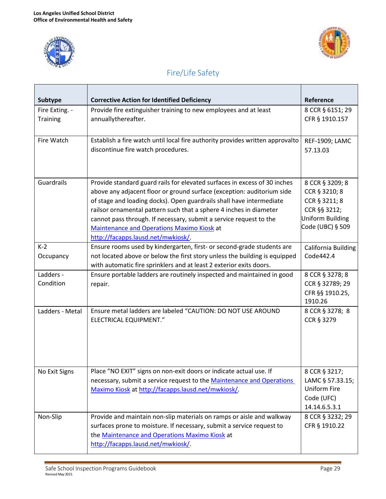



| <b>Subtype</b>  | <b>Corrective Action for Identified Deficiency</b>                            | Reference               |
|-----------------|-------------------------------------------------------------------------------|-------------------------|
| Fire Exting. -  | Provide fire extinguisher training to new employees and at least              | 8 CCR § 6151; 29        |
| Training        | annuallythereafter.                                                           | CFR § 1910.157          |
|                 |                                                                               |                         |
| Fire Watch      | Establish a fire watch until local fire authority provides written approvalto | <b>REF-1909; LAMC</b>   |
|                 | discontinue fire watch procedures.                                            | 57.13.03                |
|                 |                                                                               |                         |
|                 |                                                                               |                         |
| Guardrails      | Provide standard guard rails for elevated surfaces in excess of 30 inches     | 8 CCR § 3209; 8         |
|                 | above any adjacent floor or ground surface (exception: auditorium side        | CCR § 3210; 8           |
|                 | of stage and loading docks). Open guardrails shall have intermediate          | CCR § 3211; 8           |
|                 | railsor ornamental pattern such that a sphere 4 inches in diameter            | CCR §§ 3212;            |
|                 | cannot pass through. If necessary, submit a service request to the            | <b>Uniform Building</b> |
|                 | <b>Maintenance and Operations Maximo Kiosk at</b>                             | Code (UBC) § 509        |
|                 | http://facapps.lausd.net/mwkiosk/                                             |                         |
| $K-2$           | Ensure rooms used by kindergarten, first- or second-grade students are        | California Building     |
| Occupancy       | not located above or below the first story unless the building is equipped    | Code442.4               |
|                 | with automatic fire sprinklers and at least 2 exterior exits doors.           |                         |
| Ladders -       | Ensure portable ladders are routinely inspected and maintained in good        | 8 CCR § 3278; 8         |
| Condition       | repair.                                                                       | CCR § 32789; 29         |
|                 |                                                                               | CFR §§ 1910.25,         |
|                 |                                                                               | 1910.26                 |
| Ladders - Metal | Ensure metal ladders are labeled "CAUTION: DO NOT USE AROUND                  | 8 CCR § 3278; 8         |
|                 | <b>ELECTRICAL EQUIPMENT."</b>                                                 | CCR § 3279              |
|                 |                                                                               |                         |
|                 |                                                                               |                         |
|                 |                                                                               |                         |
|                 |                                                                               |                         |
| No Exit Signs   | Place "NO EXIT" signs on non-exit doors or indicate actual use. If            | 8 CCR § 3217;           |
|                 | necessary, submit a service request to the Maintenance and Operations         | LAMC § 57.33.15;        |
|                 | Maximo Kiosk at http://facapps.lausd.net/mwkiosk/.                            | <b>Uniform Fire</b>     |
|                 |                                                                               | Code (UFC)              |
|                 |                                                                               | 14.14.6.5.3.1           |
| Non-Slip        | Provide and maintain non-slip materials on ramps or aisle and walkway         | 8 CCR § 3232; 29        |
|                 | surfaces prone to moisture. If necessary, submit a service request to         | CFR § 1910.22           |
|                 | the Maintenance and Operations Maximo Kiosk at                                |                         |
|                 | http://facapps.lausd.net/mwkiosk/                                             |                         |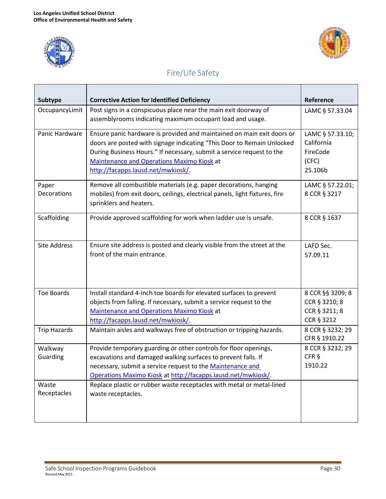



| <b>Subtype</b>      | <b>Corrective Action for Identified Deficiency</b>                          | Reference        |
|---------------------|-----------------------------------------------------------------------------|------------------|
| OccupancyLimit      | Post signs in a conspicuous place near the main exit doorway of             | LAMC § 57.33.04  |
|                     | assemblyrooms indicating maximum occupant load and usage.                   |                  |
| Panic Hardware      | Ensure panic hardware is provided and maintained on main exit doors or      | LAMC § 57.33.10; |
|                     | doors are posted with signage indicating "This Door to Remain Unlocked      | California       |
|                     | During Business Hours." If necessary, submit a service request to the       | FireCode         |
|                     | Maintenance and Operations Maximo Kiosk at                                  | (CFC)            |
|                     | http://facapps.lausd.net/mwkiosk/.                                          | 25.106b          |
| Paper               | Remove all combustible materials (e.g. paper decorations, hanging           | LAMC § 57.22.01; |
| Decorations         | mobiles) from exit doors, ceilings, electrical panels, light fixtures, fire | 8 CCR § 3217     |
|                     | sprinklers and heaters.                                                     |                  |
| Scaffolding         | Provide approved scaffolding for work when ladder use is unsafe.            | 8 CCR § 1637     |
|                     |                                                                             |                  |
| <b>Site Address</b> | Ensure site address is posted and clearly visible from the street at the    | LAFD Sec.        |
|                     | front of the main entrance.                                                 | 57.09.11         |
|                     |                                                                             |                  |
|                     |                                                                             |                  |
|                     |                                                                             |                  |
| <b>Toe Boards</b>   | Install standard 4-inch toe boards for elevated surfaces to prevent         | 8 CCR §§ 3209; 8 |
|                     | objects from falling. If necessary, submit a service request to the         | CCR § 3210; 8    |
|                     | <b>Maintenance and Operations Maximo Kiosk at</b>                           | CCR § 3211; 8    |
|                     | http://facapps.lausd.net/mwkiosk/.                                          | CCR § 3212       |
| <b>Trip Hazards</b> | Maintain aisles and walkways free of obstruction or tripping hazards.       | 8 CCR § 3232; 29 |
|                     |                                                                             | CFR § 1910.22    |
| Walkway             | Provide temporary guarding or other controls for floor openings,            | 8 CCR § 3232; 29 |
| Guarding            | excavations and damaged walking surfaces to prevent falls. If               | CFR §<br>1910.22 |
|                     | necessary, submit a service request to the Maintenance and                  |                  |
|                     | Operations Maximo Kiosk at http://facapps.lausd.net/mwkiosk/.               |                  |
| Waste               | Replace plastic or rubber waste receptacles with metal or metal-lined       |                  |
| Receptacles         | waste receptacles.                                                          |                  |
|                     |                                                                             |                  |
|                     |                                                                             |                  |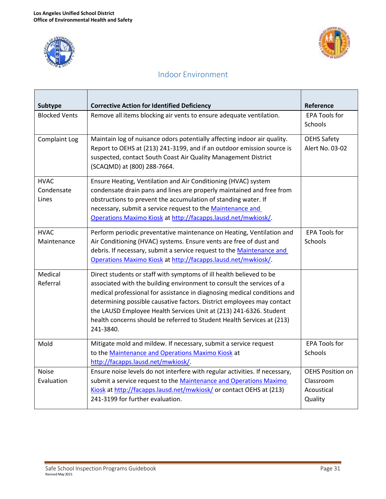



## Indoor Environment

| Subtype                                   | <b>Corrective Action for Identified Deficiency</b>                                                                                                                                                                                                                                                                                                                                                                                                              | Reference                                                     |
|-------------------------------------------|-----------------------------------------------------------------------------------------------------------------------------------------------------------------------------------------------------------------------------------------------------------------------------------------------------------------------------------------------------------------------------------------------------------------------------------------------------------------|---------------------------------------------------------------|
| <b>Blocked Vents</b>                      | Remove all items blocking air vents to ensure adequate ventilation.                                                                                                                                                                                                                                                                                                                                                                                             | <b>EPA Tools for</b><br>Schools                               |
| Complaint Log                             | Maintain log of nuisance odors potentially affecting indoor air quality.<br>Report to OEHS at (213) 241-3199, and if an outdoor emission source is<br>suspected, contact South Coast Air Quality Management District<br>(SCAQMD) at (800) 288-7664.                                                                                                                                                                                                             | <b>OEHS Safety</b><br>Alert No. 03-02                         |
| <b>HVAC</b><br>Condensate<br><b>Lines</b> | Ensure Heating, Ventilation and Air Conditioning (HVAC) system<br>condensate drain pans and lines are properly maintained and free from<br>obstructions to prevent the accumulation of standing water. If<br>necessary, submit a service request to the Maintenance and<br>Operations Maximo Kiosk at http://facapps.lausd.net/mwkiosk/.                                                                                                                        |                                                               |
| <b>HVAC</b><br>Maintenance                | Perform periodic preventative maintenance on Heating, Ventilation and<br>Air Conditioning (HVAC) systems. Ensure vents are free of dust and<br>debris. If necessary, submit a service request to the Maintenance and<br>Operations Maximo Kiosk at http://facapps.lausd.net/mwkiosk/                                                                                                                                                                            | <b>EPA Tools for</b><br>Schools                               |
| Medical<br>Referral                       | Direct students or staff with symptoms of ill health believed to be<br>associated with the building environment to consult the services of a<br>medical professional for assistance in diagnosing medical conditions and<br>determining possible causative factors. District employees may contact<br>the LAUSD Employee Health Services Unit at (213) 241-6326. Student<br>health concerns should be referred to Student Health Services at (213)<br>241-3840. |                                                               |
| Mold                                      | Mitigate mold and mildew. If necessary, submit a service request<br>to the Maintenance and Operations Maximo Kiosk at<br>http://facapps.lausd.net/mwkiosk/                                                                                                                                                                                                                                                                                                      | <b>EPA Tools for</b><br>Schools                               |
| <b>Noise</b><br>Evaluation                | Ensure noise levels do not interfere with regular activities. If necessary,<br>submit a service request to the Maintenance and Operations Maximo<br>Kiosk at http://facapps.lausd.net/mwkiosk/ or contact OEHS at (213)<br>241-3199 for further evaluation.                                                                                                                                                                                                     | <b>OEHS Position on</b><br>Classroom<br>Acoustical<br>Quality |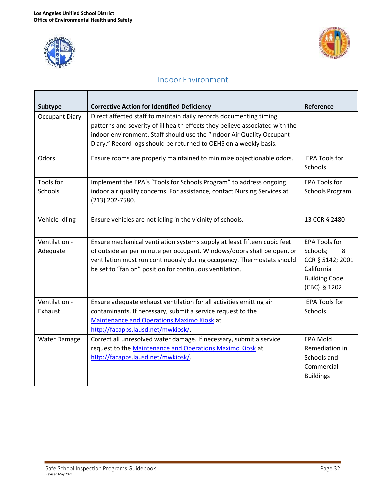



#### Indoor Environment

| Subtype               | <b>Corrective Action for Identified Deficiency</b>                           | Reference              |
|-----------------------|------------------------------------------------------------------------------|------------------------|
| <b>Occupant Diary</b> | Direct affected staff to maintain daily records documenting timing           |                        |
|                       | patterns and severity of ill health effects they believe associated with the |                        |
|                       | indoor environment. Staff should use the "Indoor Air Quality Occupant        |                        |
|                       | Diary." Record logs should be returned to OEHS on a weekly basis.            |                        |
| Odors                 | Ensure rooms are properly maintained to minimize objectionable odors.        | <b>EPA Tools for</b>   |
|                       |                                                                              | Schools                |
| <b>Tools for</b>      | Implement the EPA's "Tools for Schools Program" to address ongoing           | <b>EPA Tools for</b>   |
| <b>Schools</b>        | indoor air quality concerns. For assistance, contact Nursing Services at     | <b>Schools Program</b> |
|                       | (213) 202-7580.                                                              |                        |
| Vehicle Idling        | Ensure vehicles are not idling in the vicinity of schools.                   | 13 CCR § 2480          |
|                       |                                                                              |                        |
| Ventilation -         | Ensure mechanical ventilation systems supply at least fifteen cubic feet     | <b>EPA Tools for</b>   |
| Adequate              | of outside air per minute per occupant. Windows/doors shall be open, or      | Schools;<br>8          |
|                       | ventilation must run continuously during occupancy. Thermostats should       | CCR § 5142; 2001       |
|                       | be set to "fan on" position for continuous ventilation.                      | California             |
|                       |                                                                              | <b>Building Code</b>   |
|                       |                                                                              | (CBC) § 1202           |
| Ventilation -         | Ensure adequate exhaust ventilation for all activities emitting air          | <b>EPA Tools for</b>   |
| Exhaust               | contaminants. If necessary, submit a service request to the                  | Schools                |
|                       | Maintenance and Operations Maximo Kiosk at                                   |                        |
|                       | http://facapps.lausd.net/mwkiosk/.                                           |                        |
| <b>Water Damage</b>   | Correct all unresolved water damage. If necessary, submit a service          | <b>EPA Mold</b>        |
|                       | request to the Maintenance and Operations Maximo Kiosk at                    | Remediation in         |
|                       | http://facapps.lausd.net/mwkiosk/                                            | Schools and            |
|                       |                                                                              | Commercial             |
|                       |                                                                              | <b>Buildings</b>       |
|                       |                                                                              |                        |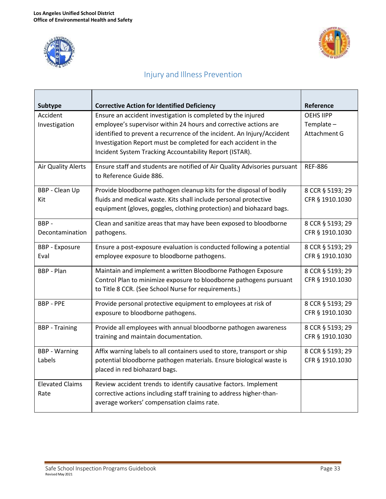



<span id="page-33-0"></span>

| Subtype                | <b>Corrective Action for Identified Deficiency</b>                        | Reference        |
|------------------------|---------------------------------------------------------------------------|------------------|
| Accident               | Ensure an accident investigation is completed by the injured              | <b>OEHS IIPP</b> |
| Investigation          | employee's supervisor within 24 hours and corrective actions are          | Template-        |
|                        | identified to prevent a recurrence of the incident. An Injury/Accident    | Attachment G     |
|                        | Investigation Report must be completed for each accident in the           |                  |
|                        | Incident System Tracking Accountability Report (ISTAR).                   |                  |
| Air Quality Alerts     | Ensure staff and students are notified of Air Quality Advisories pursuant | <b>REF-886</b>   |
|                        | to Reference Guide 886.                                                   |                  |
| <b>BBP - Clean Up</b>  | Provide bloodborne pathogen cleanup kits for the disposal of bodily       | 8 CCR § 5193; 29 |
| Kit                    | fluids and medical waste. Kits shall include personal protective          | CFR § 1910.1030  |
|                        | equipment (gloves, goggles, clothing protection) and biohazard bags.      |                  |
| BBP-                   | Clean and sanitize areas that may have been exposed to bloodborne         | 8 CCR § 5193; 29 |
| Decontamination        | pathogens.                                                                | CFR § 1910.1030  |
| <b>BBP</b> - Exposure  | Ensure a post-exposure evaluation is conducted following a potential      | 8 CCR § 5193; 29 |
| Eval                   | employee exposure to bloodborne pathogens.                                | CFR § 1910.1030  |
| BBP - Plan             | Maintain and implement a written Bloodborne Pathogen Exposure             | 8 CCR § 5193; 29 |
|                        | Control Plan to minimize exposure to bloodborne pathogens pursuant        | CFR § 1910.1030  |
|                        | to Title 8 CCR. (See School Nurse for requirements.)                      |                  |
| <b>BBP - PPE</b>       | Provide personal protective equipment to employees at risk of             | 8 CCR § 5193; 29 |
|                        | exposure to bloodborne pathogens.                                         | CFR § 1910.1030  |
| <b>BBP</b> - Training  | Provide all employees with annual bloodborne pathogen awareness           | 8 CCR § 5193; 29 |
|                        | training and maintain documentation.                                      | CFR § 1910.1030  |
| <b>BBP - Warning</b>   | Affix warning labels to all containers used to store, transport or ship   | 8 CCR § 5193; 29 |
| Labels                 | potential bloodborne pathogen materials. Ensure biological waste is       | CFR § 1910.1030  |
|                        | placed in red biohazard bags.                                             |                  |
| <b>Elevated Claims</b> | Review accident trends to identify causative factors. Implement           |                  |
| Rate                   | corrective actions including staff training to address higher-than-       |                  |
|                        | average workers' compensation claims rate.                                |                  |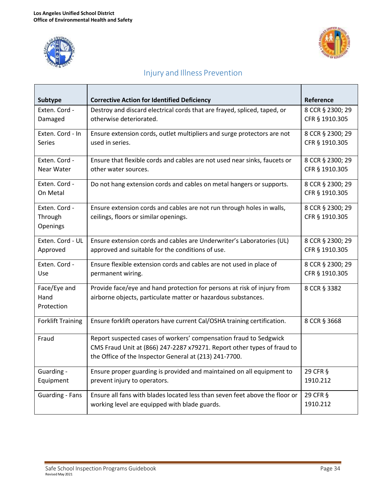



| Subtype                  | <b>Corrective Action for Identified Deficiency</b>                          | Reference        |
|--------------------------|-----------------------------------------------------------------------------|------------------|
| Exten. Cord -            | Destroy and discard electrical cords that are frayed, spliced, taped, or    | 8 CCR § 2300; 29 |
| Damaged                  | otherwise deteriorated.                                                     | CFR § 1910.305   |
| Exten. Cord - In         | Ensure extension cords, outlet multipliers and surge protectors are not     | 8 CCR § 2300; 29 |
| <b>Series</b>            | used in series.                                                             | CFR § 1910.305   |
| Exten. Cord -            | Ensure that flexible cords and cables are not used near sinks, faucets or   | 8 CCR § 2300; 29 |
| Near Water               | other water sources.                                                        | CFR § 1910.305   |
| Exten. Cord -            | Do not hang extension cords and cables on metal hangers or supports.        | 8 CCR § 2300; 29 |
| On Metal                 |                                                                             | CFR § 1910.305   |
| Exten. Cord -            | Ensure extension cords and cables are not run through holes in walls,       | 8 CCR § 2300; 29 |
| Through                  | ceilings, floors or similar openings.                                       | CFR § 1910.305   |
| Openings                 |                                                                             |                  |
| Exten. Cord - UL         | Ensure extension cords and cables are Underwriter's Laboratories (UL)       | 8 CCR § 2300; 29 |
| Approved                 | approved and suitable for the conditions of use.                            | CFR § 1910.305   |
| Exten. Cord -            | Ensure flexible extension cords and cables are not used in place of         | 8 CCR § 2300; 29 |
| Use                      | permanent wiring.                                                           | CFR § 1910.305   |
| Face/Eye and             | Provide face/eye and hand protection for persons at risk of injury from     | 8 CCR § 3382     |
| Hand                     | airborne objects, particulate matter or hazardous substances.               |                  |
| Protection               |                                                                             |                  |
| <b>Forklift Training</b> | Ensure forklift operators have current Cal/OSHA training certification.     | 8 CCR § 3668     |
| Fraud                    | Report suspected cases of workers' compensation fraud to Sedgwick           |                  |
|                          | CMS Fraud Unit at (866) 247-2287 x79271. Report other types of fraud to     |                  |
|                          | the Office of the Inspector General at (213) 241-7700.                      |                  |
| Guarding -               | Ensure proper guarding is provided and maintained on all equipment to       | 29 CFR §         |
| Equipment                | prevent injury to operators.                                                | 1910.212         |
| <b>Guarding - Fans</b>   | Ensure all fans with blades located less than seven feet above the floor or | 29 CFR §         |
|                          | working level are equipped with blade guards.                               | 1910.212         |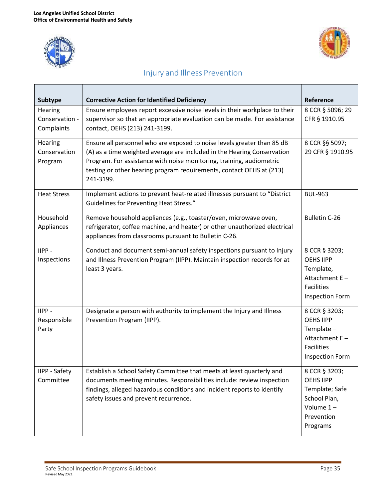



| Subtype              | <b>Corrective Action for Identified Deficiency</b>                                | Reference                    |
|----------------------|-----------------------------------------------------------------------------------|------------------------------|
| Hearing              | Ensure employees report excessive noise levels in their workplace to their        | 8 CCR § 5096; 29             |
| Conservation -       | supervisor so that an appropriate evaluation can be made. For assistance          | CFR § 1910.95                |
| Complaints           | contact, OEHS (213) 241-3199.                                                     |                              |
| Hearing              | Ensure all personnel who are exposed to noise levels greater than 85 dB           | 8 CCR §§ 5097;               |
| Conservation         | (A) as a time weighted average are included in the Hearing Conservation           | 29 CFR § 1910.95             |
| Program              | Program. For assistance with noise monitoring, training, audiometric              |                              |
|                      | testing or other hearing program requirements, contact OEHS at (213)<br>241-3199. |                              |
|                      |                                                                                   |                              |
| <b>Heat Stress</b>   | Implement actions to prevent heat-related illnesses pursuant to "District         | <b>BUL-963</b>               |
|                      | <b>Guidelines for Preventing Heat Stress."</b>                                    |                              |
| Household            | Remove household appliances (e.g., toaster/oven, microwave oven,                  | <b>Bulletin C-26</b>         |
| Appliances           | refrigerator, coffee machine, and heater) or other unauthorized electrical        |                              |
|                      | appliances from classrooms pursuant to Bulletin C-26.                             |                              |
| IIPP-                | Conduct and document semi-annual safety inspections pursuant to Injury            | 8 CCR § 3203;                |
| Inspections          | and Illness Prevention Program (IIPP). Maintain inspection records for at         | <b>OEHS IIPP</b>             |
|                      | least 3 years.                                                                    | Template,                    |
|                      |                                                                                   | Attachment E-                |
|                      |                                                                                   | <b>Facilities</b>            |
|                      |                                                                                   | <b>Inspection Form</b>       |
| IIPP-                | Designate a person with authority to implement the Injury and Illness             | 8 CCR § 3203;                |
| Responsible          | Prevention Program (IIPP).                                                        | <b>OEHS IIPP</b>             |
| Party                |                                                                                   | Template-                    |
|                      |                                                                                   | Attachment E-                |
|                      |                                                                                   | <b>Facilities</b>            |
|                      |                                                                                   | <b>Inspection Form</b>       |
| <b>IIPP</b> - Safety | Establish a School Safety Committee that meets at least quarterly and             | 8 CCR § 3203;                |
| Committee            | documents meeting minutes. Responsibilities include: review inspection            | <b>OEHS IIPP</b>             |
|                      | findings, alleged hazardous conditions and incident reports to identify           | Template; Safe               |
|                      | safety issues and prevent recurrence.                                             | School Plan,<br>Volume $1 -$ |
|                      |                                                                                   | Prevention                   |
|                      |                                                                                   | Programs                     |
|                      |                                                                                   |                              |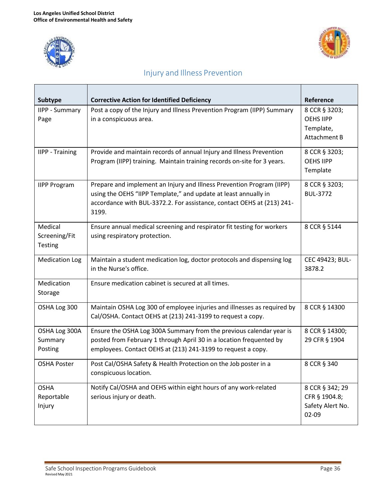



| Subtype                | <b>Corrective Action for Identified Deficiency</b>                      | Reference        |
|------------------------|-------------------------------------------------------------------------|------------------|
| <b>IIPP - Summary</b>  | Post a copy of the Injury and Illness Prevention Program (IIPP) Summary | 8 CCR § 3203;    |
| Page                   | in a conspicuous area.                                                  | <b>OEHS IIPP</b> |
|                        |                                                                         | Template,        |
|                        |                                                                         | Attachment B     |
| <b>IIPP</b> - Training | Provide and maintain records of annual Injury and Illness Prevention    | 8 CCR § 3203;    |
|                        | Program (IIPP) training. Maintain training records on-site for 3 years. | <b>OEHS IIPP</b> |
|                        |                                                                         | Template         |
| <b>IIPP Program</b>    | Prepare and implement an Injury and Illness Prevention Program (IIPP)   | 8 CCR § 3203;    |
|                        | using the OEHS "IIPP Template," and update at least annually in         | <b>BUL-3772</b>  |
|                        | accordance with BUL-3372.2. For assistance, contact OEHS at (213) 241-  |                  |
|                        | 3199.                                                                   |                  |
| Medical                | Ensure annual medical screening and respirator fit testing for workers  | 8 CCR § 5144     |
| Screening/Fit          | using respiratory protection.                                           |                  |
| Testing                |                                                                         |                  |
| <b>Medication Log</b>  | Maintain a student medication log, doctor protocols and dispensing log  | CEC 49423; BUL-  |
|                        | in the Nurse's office.                                                  | 3878.2           |
| Medication             | Ensure medication cabinet is secured at all times.                      |                  |
| Storage                |                                                                         |                  |
| OSHA Log 300           | Maintain OSHA Log 300 of employee injuries and illnesses as required by | 8 CCR § 14300    |
|                        | Cal/OSHA. Contact OEHS at (213) 241-3199 to request a copy.             |                  |
| OSHA Log 300A          | Ensure the OSHA Log 300A Summary from the previous calendar year is     | 8 CCR § 14300;   |
| Summary                | posted from February 1 through April 30 in a location frequented by     | 29 CFR § 1904    |
| Posting                | employees. Contact OEHS at (213) 241-3199 to request a copy.            |                  |
| <b>OSHA Poster</b>     | Post Cal/OSHA Safety & Health Protection on the Job poster in a         | 8 CCR § 340      |
|                        | conspicuous location.                                                   |                  |
| <b>OSHA</b>            | Notify Cal/OSHA and OEHS within eight hours of any work-related         | 8 CCR § 342; 29  |
| Reportable             | serious injury or death.                                                | CFR § 1904.8;    |
| Injury                 |                                                                         | Safety Alert No. |
|                        |                                                                         | 02-09            |
|                        |                                                                         |                  |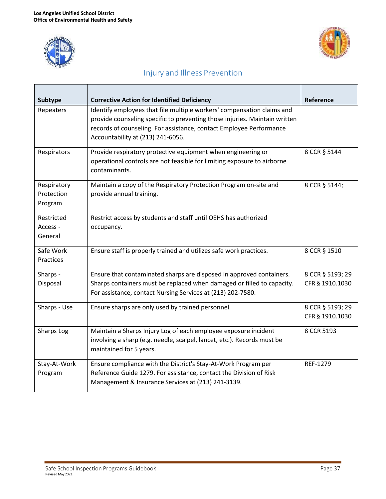



| Subtype                              | <b>Corrective Action for Identified Deficiency</b>                                                                                                                                                                                                               | Reference                           |
|--------------------------------------|------------------------------------------------------------------------------------------------------------------------------------------------------------------------------------------------------------------------------------------------------------------|-------------------------------------|
| Repeaters                            | Identify employees that file multiple workers' compensation claims and<br>provide counseling specific to preventing those injuries. Maintain written<br>records of counseling. For assistance, contact Employee Performance<br>Accountability at (213) 241-6056. |                                     |
| Respirators                          | Provide respiratory protective equipment when engineering or<br>operational controls are not feasible for limiting exposure to airborne<br>contaminants.                                                                                                         | 8 CCR § 5144                        |
| Respiratory<br>Protection<br>Program | Maintain a copy of the Respiratory Protection Program on-site and<br>provide annual training.                                                                                                                                                                    | 8 CCR § 5144;                       |
| Restricted<br>Access -<br>General    | Restrict access by students and staff until OEHS has authorized<br>occupancy.                                                                                                                                                                                    |                                     |
| Safe Work<br>Practices               | Ensure staff is properly trained and utilizes safe work practices.                                                                                                                                                                                               | 8 CCR § 1510                        |
| Sharps -                             | Ensure that contaminated sharps are disposed in approved containers.                                                                                                                                                                                             | 8 CCR § 5193; 29                    |
| Disposal                             | Sharps containers must be replaced when damaged or filled to capacity.<br>For assistance, contact Nursing Services at (213) 202-7580.                                                                                                                            | CFR § 1910.1030                     |
| Sharps - Use                         | Ensure sharps are only used by trained personnel.                                                                                                                                                                                                                | 8 CCR § 5193; 29<br>CFR § 1910.1030 |
| Sharps Log                           | Maintain a Sharps Injury Log of each employee exposure incident<br>involving a sharp (e.g. needle, scalpel, lancet, etc.). Records must be<br>maintained for 5 years.                                                                                            | 8 CCR 5193                          |
| Stay-At-Work<br>Program              | Ensure compliance with the District's Stay-At-Work Program per<br>Reference Guide 1279. For assistance, contact the Division of Risk<br>Management & Insurance Services at (213) 241-3139.                                                                       | REF-1279                            |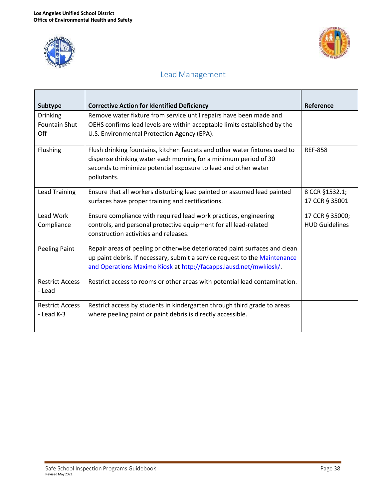



# Lead Management

<span id="page-38-0"></span>

| Subtype                                        | <b>Corrective Action for Identified Deficiency</b>                                                                                                                                                                             | Reference                                |
|------------------------------------------------|--------------------------------------------------------------------------------------------------------------------------------------------------------------------------------------------------------------------------------|------------------------------------------|
| <b>Drinking</b><br><b>Fountain Shut</b><br>Off | Remove water fixture from service until repairs have been made and<br>OEHS confirms lead levels are within acceptable limits established by the<br>U.S. Environmental Protection Agency (EPA).                                 |                                          |
| Flushing                                       | Flush drinking fountains, kitchen faucets and other water fixtures used to<br>dispense drinking water each morning for a minimum period of 30<br>seconds to minimize potential exposure to lead and other water<br>pollutants. | <b>REF-858</b>                           |
| <b>Lead Training</b>                           | Ensure that all workers disturbing lead painted or assumed lead painted<br>surfaces have proper training and certifications.                                                                                                   | 8 CCR §1532.1;<br>17 CCR § 35001         |
| Lead Work<br>Compliance                        | Ensure compliance with required lead work practices, engineering<br>controls, and personal protective equipment for all lead-related<br>construction activities and releases.                                                  | 17 CCR § 35000;<br><b>HUD Guidelines</b> |
| <b>Peeling Paint</b>                           | Repair areas of peeling or otherwise deteriorated paint surfaces and clean<br>up paint debris. If necessary, submit a service request to the Maintenance<br>and Operations Maximo Kiosk at http://facapps.lausd.net/mwkiosk/.  |                                          |
| <b>Restrict Access</b><br>- Lead               | Restrict access to rooms or other areas with potential lead contamination.                                                                                                                                                     |                                          |
| <b>Restrict Access</b><br>- Lead K-3           | Restrict access by students in kindergarten through third grade to areas<br>where peeling paint or paint debris is directly accessible.                                                                                        |                                          |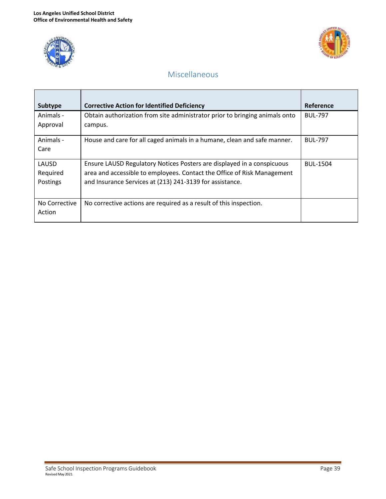



## Miscellaneous

<span id="page-39-1"></span><span id="page-39-0"></span>

| Subtype                 | <b>Corrective Action for Identified Deficiency</b>                          | Reference       |
|-------------------------|-----------------------------------------------------------------------------|-----------------|
| Animals -               | Obtain authorization from site administrator prior to bringing animals onto | <b>BUL-797</b>  |
| Approval                | campus.                                                                     |                 |
| Animals -               | House and care for all caged animals in a humane, clean and safe manner.    | <b>BUL-797</b>  |
| Care                    |                                                                             |                 |
| LAUSD                   | Ensure LAUSD Regulatory Notices Posters are displayed in a conspicuous      | <b>BUL-1504</b> |
| Required                | area and accessible to employees. Contact the Office of Risk Management     |                 |
| Postings                | and Insurance Services at (213) 241-3139 for assistance.                    |                 |
| No Corrective<br>Action | No corrective actions are required as a result of this inspection.          |                 |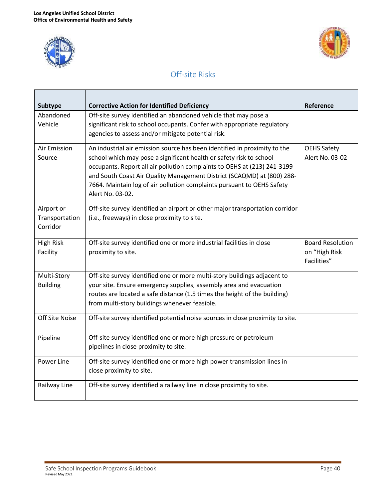



## Off-site Risks

| <b>Subtype</b>                           | <b>Corrective Action for Identified Deficiency</b>                                                                                                                                                                                                                                                                                                                                                   | Reference                                               |
|------------------------------------------|------------------------------------------------------------------------------------------------------------------------------------------------------------------------------------------------------------------------------------------------------------------------------------------------------------------------------------------------------------------------------------------------------|---------------------------------------------------------|
| Abandoned<br>Vehicle                     | Off-site survey identified an abandoned vehicle that may pose a<br>significant risk to school occupants. Confer with appropriate regulatory<br>agencies to assess and/or mitigate potential risk.                                                                                                                                                                                                    |                                                         |
| Air Emission<br>Source                   | An industrial air emission source has been identified in proximity to the<br>school which may pose a significant health or safety risk to school<br>occupants. Report all air pollution complaints to OEHS at (213) 241-3199<br>and South Coast Air Quality Management District (SCAQMD) at (800) 288-<br>7664. Maintain log of air pollution complaints pursuant to OEHS Safety<br>Alert No. 03-02. | <b>OEHS Safety</b><br>Alert No. 03-02                   |
| Airport or<br>Transportation<br>Corridor | Off-site survey identified an airport or other major transportation corridor<br>(i.e., freeways) in close proximity to site.                                                                                                                                                                                                                                                                         |                                                         |
| <b>High Risk</b><br>Facility             | Off-site survey identified one or more industrial facilities in close<br>proximity to site.                                                                                                                                                                                                                                                                                                          | <b>Board Resolution</b><br>on "High Risk<br>Facilities" |
| Multi-Story<br><b>Building</b>           | Off-site survey identified one or more multi-story buildings adjacent to<br>your site. Ensure emergency supplies, assembly area and evacuation<br>routes are located a safe distance (1.5 times the height of the building)<br>from multi-story buildings whenever feasible.                                                                                                                         |                                                         |
| <b>Off Site Noise</b>                    | Off-site survey identified potential noise sources in close proximity to site.                                                                                                                                                                                                                                                                                                                       |                                                         |
| Pipeline                                 | Off-site survey identified one or more high pressure or petroleum<br>pipelines in close proximity to site.                                                                                                                                                                                                                                                                                           |                                                         |
| Power Line                               | Off-site survey identified one or more high power transmission lines in<br>close proximity to site.                                                                                                                                                                                                                                                                                                  |                                                         |
| Railway Line                             | Off-site survey identified a railway line in close proximity to site.                                                                                                                                                                                                                                                                                                                                |                                                         |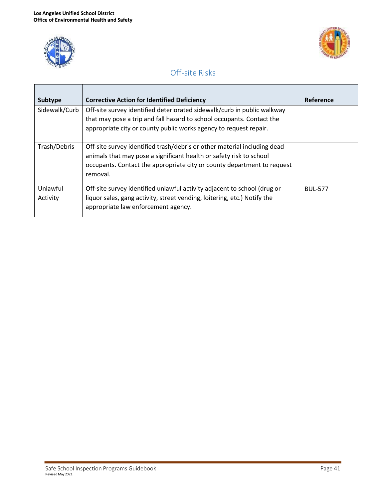



## Off-site Risks

| Subtype              | <b>Corrective Action for Identified Deficiency</b>                                                                                                                                                                                     | Reference      |
|----------------------|----------------------------------------------------------------------------------------------------------------------------------------------------------------------------------------------------------------------------------------|----------------|
| Sidewalk/Curb        | Off-site survey identified deteriorated sidewalk/curb in public walkway<br>that may pose a trip and fall hazard to school occupants. Contact the<br>appropriate city or county public works agency to request repair.                  |                |
| Trash/Debris         | Off-site survey identified trash/debris or other material including dead<br>animals that may pose a significant health or safety risk to school<br>occupants. Contact the appropriate city or county department to request<br>removal. |                |
| Unlawful<br>Activity | Off-site survey identified unlawful activity adjacent to school (drug or<br>liquor sales, gang activity, street vending, loitering, etc.) Notify the<br>appropriate law enforcement agency.                                            | <b>BUL-577</b> |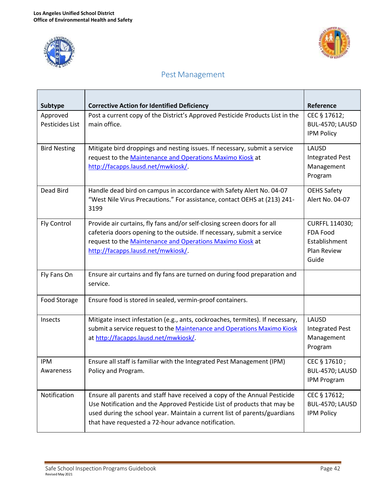



## Pest Management

<span id="page-42-0"></span>

| Subtype                     | <b>Corrective Action for Identified Deficiency</b>                                                                                                                                                                                                                                        | Reference                                                                  |
|-----------------------------|-------------------------------------------------------------------------------------------------------------------------------------------------------------------------------------------------------------------------------------------------------------------------------------------|----------------------------------------------------------------------------|
| Approved<br>Pesticides List | Post a current copy of the District's Approved Pesticide Products List in the<br>main office.                                                                                                                                                                                             | CEC § 17612;<br>BUL-4570; LAUSD<br><b>IPM Policy</b>                       |
| <b>Bird Nesting</b>         | Mitigate bird droppings and nesting issues. If necessary, submit a service<br>request to the Maintenance and Operations Maximo Kiosk at<br>http://facapps.lausd.net/mwkiosk/.                                                                                                             | LAUSD<br><b>Integrated Pest</b><br>Management<br>Program                   |
| Dead Bird                   | Handle dead bird on campus in accordance with Safety Alert No. 04-07<br>"West Nile Virus Precautions." For assistance, contact OEHS at (213) 241-<br>3199                                                                                                                                 | <b>OEHS Safety</b><br>Alert No. 04-07                                      |
| <b>Fly Control</b>          | Provide air curtains, fly fans and/or self-closing screen doors for all<br>cafeteria doors opening to the outside. If necessary, submit a service<br>request to the Maintenance and Operations Maximo Kiosk at<br>http://facapps.lausd.net/mwkiosk/.                                      | CURFFL 114030;<br><b>FDA Food</b><br>Establishment<br>Plan Review<br>Guide |
| Fly Fans On                 | Ensure air curtains and fly fans are turned on during food preparation and<br>service.                                                                                                                                                                                                    |                                                                            |
| Food Storage                | Ensure food is stored in sealed, vermin-proof containers.                                                                                                                                                                                                                                 |                                                                            |
| Insects                     | Mitigate insect infestation (e.g., ants, cockroaches, termites). If necessary,<br>submit a service request to the Maintenance and Operations Maximo Kiosk<br>at http://facapps.lausd.net/mwkiosk/.                                                                                        | LAUSD<br><b>Integrated Pest</b><br>Management<br>Program                   |
| <b>IPM</b><br>Awareness     | Ensure all staff is familiar with the Integrated Pest Management (IPM)<br>Policy and Program.                                                                                                                                                                                             | CEC § 17610;<br>BUL-4570; LAUSD<br>IPM Program                             |
| Notification                | Ensure all parents and staff have received a copy of the Annual Pesticide<br>Use Notification and the Approved Pesticide List of products that may be<br>used during the school year. Maintain a current list of parents/guardians<br>that have requested a 72-hour advance notification. | CEC § 17612;<br>BUL-4570; LAUSD<br><b>IPM Policy</b>                       |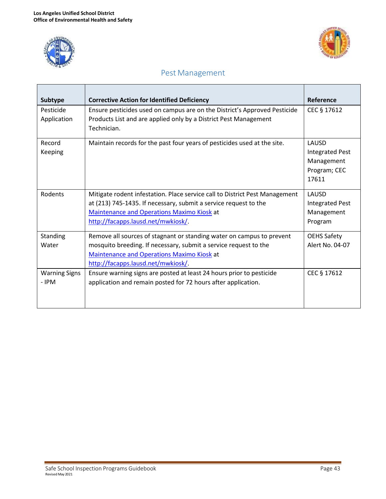



## Pest Management

| Subtype                        | <b>Corrective Action for Identified Deficiency</b>                                                                                                                                                                                  | Reference                                                              |
|--------------------------------|-------------------------------------------------------------------------------------------------------------------------------------------------------------------------------------------------------------------------------------|------------------------------------------------------------------------|
| Pesticide<br>Application       | Ensure pesticides used on campus are on the District's Approved Pesticide<br>Products List and are applied only by a District Pest Management<br>Technician.                                                                        | CEC § 17612                                                            |
| Record<br>Keeping              | Maintain records for the past four years of pesticides used at the site.                                                                                                                                                            | LAUSD<br><b>Integrated Pest</b><br>Management<br>Program; CEC<br>17611 |
| Rodents                        | Mitigate rodent infestation. Place service call to District Pest Management<br>at (213) 745-1435. If necessary, submit a service request to the<br>Maintenance and Operations Maximo Kiosk at<br>http://facapps.lausd.net/mwkiosk/. | LAUSD<br>Integrated Pest<br>Management<br>Program                      |
| Standing<br>Water              | Remove all sources of stagnant or standing water on campus to prevent<br>mosquito breeding. If necessary, submit a service request to the<br>Maintenance and Operations Maximo Kiosk at<br>http://facapps.lausd.net/mwkiosk/        | <b>OEHS Safety</b><br>Alert No. 04-07                                  |
| <b>Warning Signs</b><br>$-IPM$ | Ensure warning signs are posted at least 24 hours prior to pesticide<br>application and remain posted for 72 hours after application.                                                                                               | CEC § 17612                                                            |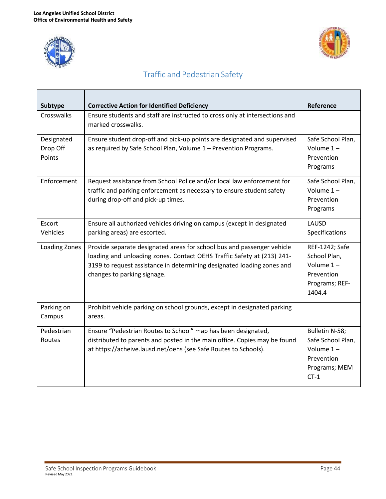



# Traffic and Pedestrian Safety

<span id="page-44-0"></span>

| Subtype                          | <b>Corrective Action for Identified Deficiency</b>                                                                                                                                                                                                        | Reference                                                                                    |
|----------------------------------|-----------------------------------------------------------------------------------------------------------------------------------------------------------------------------------------------------------------------------------------------------------|----------------------------------------------------------------------------------------------|
| Crosswalks                       | Ensure students and staff are instructed to cross only at intersections and<br>marked crosswalks.                                                                                                                                                         |                                                                                              |
| Designated<br>Drop Off<br>Points | Ensure student drop-off and pick-up points are designated and supervised<br>as required by Safe School Plan, Volume 1 - Prevention Programs.                                                                                                              | Safe School Plan,<br>Volume $1 -$<br>Prevention<br>Programs                                  |
| Enforcement                      | Request assistance from School Police and/or local law enforcement for<br>traffic and parking enforcement as necessary to ensure student safety<br>during drop-off and pick-up times.                                                                     | Safe School Plan,<br>Volume $1 -$<br>Prevention<br>Programs                                  |
| Escort<br>Vehicles               | Ensure all authorized vehicles driving on campus (except in designated<br>parking areas) are escorted.                                                                                                                                                    | LAUSD<br>Specifications                                                                      |
| Loading Zones                    | Provide separate designated areas for school bus and passenger vehicle<br>loading and unloading zones. Contact OEHS Traffic Safety at (213) 241-<br>3199 to request assistance in determining designated loading zones and<br>changes to parking signage. | REF-1242; Safe<br>School Plan,<br>Volume $1 -$<br>Prevention<br>Programs; REF-<br>1404.4     |
| Parking on<br>Campus             | Prohibit vehicle parking on school grounds, except in designated parking<br>areas.                                                                                                                                                                        |                                                                                              |
| Pedestrian<br>Routes             | Ensure "Pedestrian Routes to School" map has been designated,<br>distributed to parents and posted in the main office. Copies may be found<br>at https://acheive.lausd.net/oehs (see Safe Routes to Schools).                                             | Bulletin N-58;<br>Safe School Plan,<br>Volume $1 -$<br>Prevention<br>Programs; MEM<br>$CT-1$ |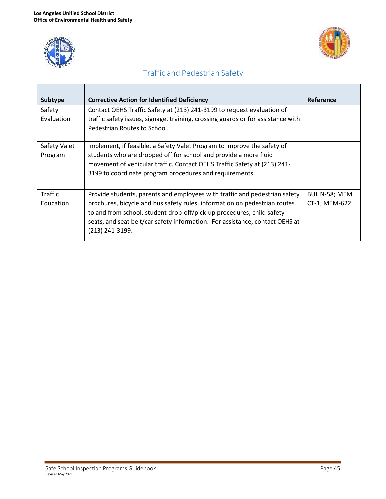



## Traffic and Pedestrian Safety

| Subtype                     | <b>Corrective Action for Identified Deficiency</b>                                                                                                                                                                                                                                                                                  | Reference                      |
|-----------------------------|-------------------------------------------------------------------------------------------------------------------------------------------------------------------------------------------------------------------------------------------------------------------------------------------------------------------------------------|--------------------------------|
| Safety<br>Evaluation        | Contact OEHS Traffic Safety at (213) 241-3199 to request evaluation of<br>traffic safety issues, signage, training, crossing guards or for assistance with<br>Pedestrian Routes to School.                                                                                                                                          |                                |
| Safety Valet<br>Program     | Implement, if feasible, a Safety Valet Program to improve the safety of<br>students who are dropped off for school and provide a more fluid<br>movement of vehicular traffic. Contact OEHS Traffic Safety at (213) 241-<br>3199 to coordinate program procedures and requirements.                                                  |                                |
| <b>Traffic</b><br>Education | Provide students, parents and employees with traffic and pedestrian safety<br>brochures, bicycle and bus safety rules, information on pedestrian routes<br>to and from school, student drop-off/pick-up procedures, child safety<br>seats, and seat belt/car safety information. For assistance, contact OEHS at<br>(213) 241-3199. | BUL N-58; MEM<br>CT-1; MEM-622 |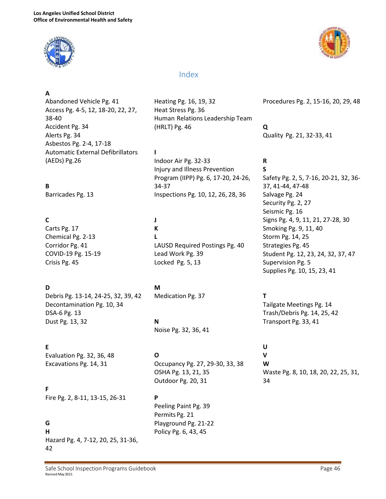



#### <span id="page-46-0"></span>**A**

Abandoned Vehicle Pg. 41 Access Pg. 4-5, 12, 18-20, 22, 27, 38-40 Accident Pg. 34 Alerts Pg. 34 Asbestos Pg. 2-4, 17-18 Automatic External Defibrillators (AEDs) Pg.26

#### **B**

Barricades Pg. 13

#### **C**

Carts Pg. 17 Chemical Pg. 2-13 Corridor Pg. 41 COVID-19 Pg. 15-19 Crisis Pg. 45

#### **D**

Debris Pg. 13-14, 24-25, 32, 39, 42 Decontamination Pg. 10, 34 DSA-6 Pg. 13 Dust Pg. 13, 32

#### **E**

Evaluation Pg. 32, 36, 48 Excavations Pg. 14, 31

**F** Fire Pg. 2, 8-11, 13-15, 26-31

#### **G**

**H** Hazard Pg. 4, 7-12, 20, 25, 31-36, 42

Heating Pg. 16, 19, 32 Heat Stress Pg. 36 Human Relations Leadership Team (HRLT) Pg. 46

#### **I**

Indoor Air Pg. 32-33 Injury and Illness Prevention Program (IIPP) Pg. 6, 17-20, 24-26, 34-37 Inspections Pg. 10, 12, 26, 28, 36

**J K L** LAUSD Required Postings Pg. 40 Lead Work Pg. 39 Locked Pg. 5, 13

#### **M**

Medication Pg. 37

**N** Noise Pg. 32, 36, 41

#### **O**

Occupancy Pg. 27, 29-30, 33, 38 OSHA Pg. 13, 21, 35 Outdoor Pg. 20, 31

#### **P**

Peeling Paint Pg. 39 Permits Pg. 21 Playground Pg. 21-22 Policy Pg. 6, 43, 45



Procedures Pg. 2, 15-16, 20, 29, 48

**Q** Quality Pg. 21, 32-33, 41

#### **R**

**S** Safety Pg. 2, 5, 7-16, 20-21, 32, 36- 37, 41-44, 47-48 Salvage Pg. 24 Security Pg. 2, 27 Seismic Pg. 16 Signs Pg. 4, 9, 11, 21, 27-28, 30 Smoking Pg. 9, 11, 40 Storm Pg. 14, 25 Strategies Pg. 45 Student Pg. 12, 23, 24, 32, 37, 47 Supervision Pg. 5 Supplies Pg. 10, 15, 23, 41

#### **T**

Tailgate Meetings Pg. 14 Trash/Debris Pg. 14, 25, 42 Transport Pg. 33, 41

**U V W** Waste Pg. 8, 10, 18, 20, 22, 25, 31, 34